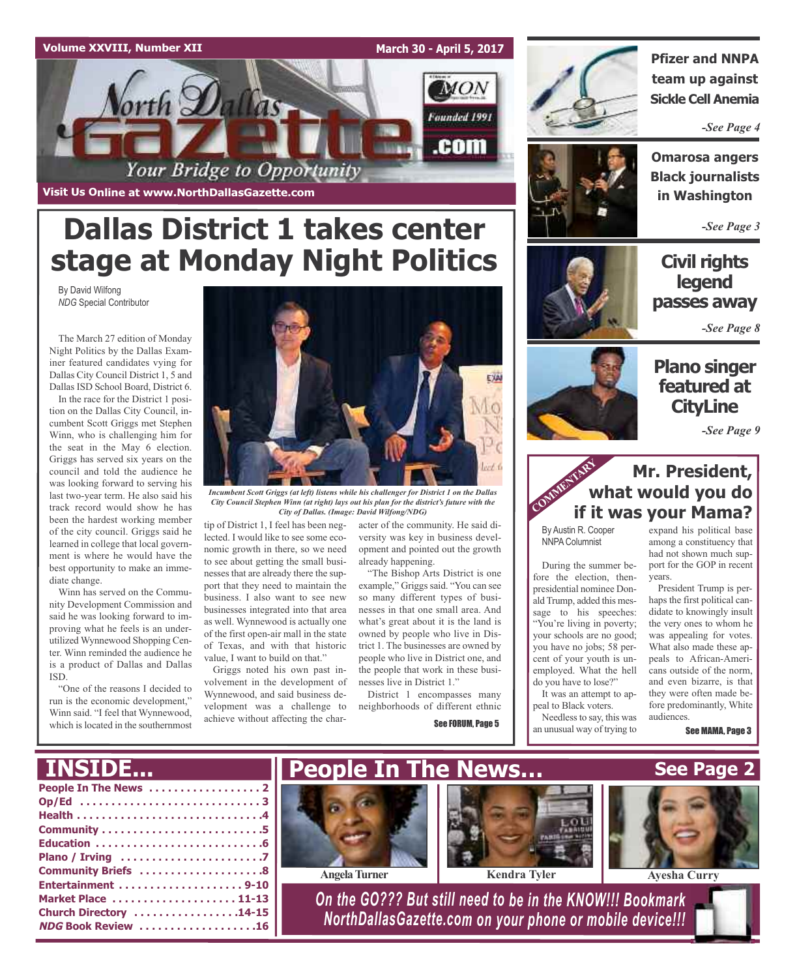## **Volume XXVIII, Number XII**

**Visit Us Online at www.NorthDallasGazette.com**

## **March 30 - April 5, 2017**





**Pfizer and NNPA team up against Sickle Cell Anemia**

*-See Page 4*



**Omarosa angers Black journalists in Washington**

*-See Page 3*

## **Civil rights legend passes away**

*-See Page 8*

## **Plano singer featured at CityLine**

*-See Page 9*

## **Mr. President, what would you do if it was your Mama?** COMMENTARY **V**

By Austin R. Cooper NNPA Columnist

During the summer before the election, thenpresidential nominee Donald Trump, added this message to his speeches: "You're living in poverty; your schools are no good; you have no jobs; 58 percent of your youth is unemployed. What the hell

expand his political base

haps the first political candidate to knowingly insult the very ones to whom he was appealing for votes. What also made these appeals to African-Americans outside of the norm, and even bizarre, is that they were often made before predominantly, White audiences.

See MAMA, Page 3

**See Page 2**

# **Dallas District 1 takes center stage at Monday Night Politics**

By David Wilfong *NDG* Special Contributor

The March 27 edition of Monday Night Politics by the Dallas Examiner featured candidates vying for Dallas City Council District 1, 5 and Dallas ISD School Board, District 6.

In the race for the District 1 position on the Dallas City Council, incumbent Scott Griggs met Stephen Winn, who is challenging him for the seat in the May 6 election. Griggs has served six years on the council and told the audience he was looking forward to serving his last two-year term. He also said his track record would show he has been the hardest working member of the city council. Griggs said he learned in college that local government is where he would have the best opportunity to make an immediate change.

Winn has served on the Community Development Commission and said he was looking forward to improving what he feels is an underutilized Wynnewood Shopping Center. Winn reminded the audience he is a product of Dallas and Dallas ISD.

"One of the reasons I decided to run is the economic development," Winn said. "I feel that Wynnewood, which is located in the southernmost



*Incumbent Scott Griggs (at left) listens while his challenger for District 1 on the Dallas City Council Stephen Winn (at right) lays out his plan for the district's future with the City of Dallas. (Image: David Wilfong/NDG)*

tip of District 1, I feel has been neglected. I would like to see some economic growth in there, so we need to see about getting the small businesses that are already there the support that they need to maintain the business. I also want to see new businesses integrated into that area as well. Wynnewood is actually one of the first open-air mall in the state of Texas, and with that historic value, I want to build on that."

Griggs noted his own past involvement in the development of Wynnewood, and said business development was a challenge to achieve without affecting the character of the community. He said diversity was key in business development and pointed out the growth already happening.

"The Bishop Arts District is one example," Griggs said. "You can see so many different types of businesses in that one small area. And what's great about it is the land is owned by people who live in District 1. The businesses are owned by people who live in District one, and the people that work in these businesses live in District 1."

District 1 encompasses many neighborhoods of different ethnic

**People In The News…**

See FORUM, Page 5





**INSIDE...**



do you have to lose?" It was an attempt to appeal to Black voters.

Needless to say, this was an unusual way of trying to

among a constituency that had not shown much support for the GOP in recent years. President Trump is per-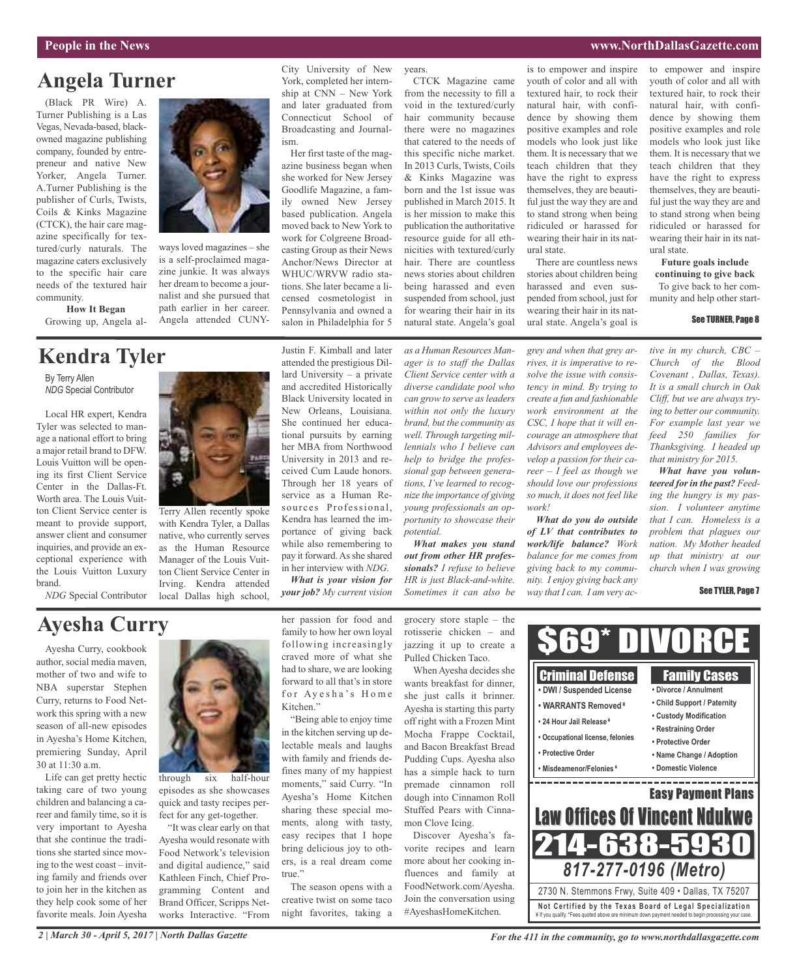#### **People in the News www.NorthDallasGazette.com**

## **Angela Turner**

(Black PR Wire) A. Turner Publishing is a Las Vegas, Nevada-based, blackowned magazine publishing company, founded by entrepreneur and native New Yorker, Angela Turner. A.Turner Publishing is the publisher of Curls, Twists, Coils & Kinks Magazine (CTCK), the hair care magazine specifically for textured/curly naturals. The magazine caters exclusively to the specific hair care needs of the textured hair community.

**How It Began** Growing up, Angela al-

## **Kendra Tyler**

By Terry Allen *NDG* Special Contributor

Local HR expert, Kendra Tyler was selected to manage a national effort to bring a major retail brand to DFW. Louis Vuitton will be opening its first Client Service Center in the Dallas-Ft. Worth area. The Louis Vuitton Client Service center is meant to provide support, answer client and consumer inquiries, and provide an exceptional experience with the Louis Vuitton Luxury brand.

*NDG* Special Contributor



ways loved magazines – she is a self-proclaimed magazine junkie. It was always her dream to become a journalist and she pursued that path earlier in her career. Angela attended CUNY-

Terry Allen recently spoke with Kendra Tyler, a Dallas native, who currently serves as the Human Resource Manager of the Louis Vuitton Client Service Center in Irving. Kendra attended local Dallas high school,

City University of New York, completed her internship at CNN – New York and later graduated from Connecticut School of Broadcasting and Journalism.

Her first taste of the magazine business began when she worked for New Jersey Goodlife Magazine, a family owned New Jersey based publication. Angela moved back to New York to work for Colgreene Broadcasting Group as their News Anchor/News Director at WHUC/WRVW radio stations. She later became a licensed cosmetologist in Pennsylvania and owned a salon in Philadelphia for 5

Justin F. Kimball and later attended the prestigious Dillard University – a private and accredited Historically Black University located in New Orleans, Louisiana. She continued her educational pursuits by earning her MBA from Northwood University in 2013 and received Cum Laude honors. Through her 18 years of service as a Human Resources Professional, Kendra has learned the importance of giving back while also remembering to pay it forward. As she shared in her interview with *NDG. What is your vision for your job? My current vision*

from the necessity to fill a void in the textured/curly hair community because there were no magazines that catered to the needs of this specific niche market. In 2013 Curls, Twists, Coils & Kinks Magazine was born and the 1st issue was published in March 2015. It is her mission to make this publication the authoritative resource guide for all ethnicities with textured/curly hair. There are countless news stories about children being harassed and even suspended from school, just for wearing their hair in its

natural state. Angela's goal

CTCK Magazine came

years.

*as a Human Resources Manager is to staff the Dallas Client Service center with a diverse candidate pool who can grow to serve as leaders within not only the luxury brand, but the community as well. Through targeting millennials who I believe can help to bridge the professional gap between generations, I've learned to recognize the importance of giving young professionals an opportunity to showcase their potential.*

*What makes you stand out from other HR professionals? I refuse to believe HR is just Black-and-white. Sometimes it can also be*

is to empower and inspire youth of color and all with textured hair, to rock their natural hair, with confidence by showing them positive examples and role models who look just like them. It is necessary that we teach children that they have the right to express themselves, they are beautiful just the way they are and to stand strong when being ridiculed or harassed for wearing their hair in its natural state.

There are countless news stories about children being harassed and even suspended from school, just for wearing their hair in its natural state. Angela's goal is

*grey and when that grey arrives, it is imperative to resolve the issue with consistency in mind. By trying to create a fun and fashionable work environment at the CSC, I hope that it will encourage an atmosphere that Advisors and employees develop a passion for their career – I feel as though we should love our professions so much, it does not feel like*

*What do you do outside of LV that contributes to work/life balance? Work balance for me comes from giving back to my community. I enjoy giving back any way that I can. I am very ac-*

*work!*

to empower and inspire youth of color and all with textured hair, to rock their natural hair, with confidence by showing them positive examples and role models who look just like them. It is necessary that we teach children that they have the right to express themselves, they are beautiful just the way they are and to stand strong when being ridiculed or harassed for wearing their hair in its natural state.

#### **Future goals include continuing to give back**

To give back to her community and help other start-

#### See TURNER, Page 8

*tive in my church, CBC – Church of the Blood Covenant , Dallas, Texas). It is a small church in Oak Cliff, but we are always trying to better our community. For example last year we feed 250 families for Thanksgiving. I headed up that ministry for 2015.*

*What have you volunteered forin the past? Feeding the hungry is my passion. I volunteer anytime that I can. Homeless is a problem that plagues our nation. My Mother headed up that ministry at our church when I was growing*

#### See TYLER, Page 7

## **Ayesha Curry**

Ayesha Curry, cookbook author, social media maven, mother of two and wife to NBA superstar Stephen Curry, returns to Food Network this spring with a new season of all-new episodes in Ayesha's Home Kitchen, premiering Sunday, April 30 at 11:30 a.m.

Life can get pretty hectic taking care of two young children and balancing a career and family time, so it is very important to Ayesha that she continue the traditions she started since moving to the west coast – inviting family and friends over to join her in the kitchen as they help cook some of her favorite meals. Join Ayesha



through six half-hour episodes as she showcases quick and tasty recipes perfect for any get-together.

"It was clear early on that Ayesha would resonate with Food Network's television and digital audience," said Kathleen Finch, Chief Programming Content and Brand Officer, Scripps Networks Interactive. "From

her passion for food and family to how her own loyal following increasingly craved more of what she had to share, we are looking forward to all that's in store for Ayesha's Home Kitchen."

"Being able to enjoy time in the kitchen serving up delectable meals and laughs with family and friends defines many of my happiest moments," said Curry. "In Ayesha's Home Kitchen sharing these special moments, along with tasty, easy recipes that I hope bring delicious joy to others, is a real dream come true."

The season opens with a creative twist on some taco night favorites, taking a grocery store staple – the rotisserie chicken – and jazzing it up to create a Pulled Chicken Taco.

When Ayesha decides she wants breakfast for dinner, she just calls it brinner. Ayesha is starting this party off right with a Frozen Mint Mocha Frappe Cocktail, and Bacon Breakfast Bread Pudding Cups. Ayesha also has a simple hack to turn premade cinnamon roll dough into Cinnamon Roll Stuffed Pears with Cinnamon Clove Icing.

Discover Ayesha's favorite recipes and learn more about her cooking influences and family at FoodNetwork.com/Ayesha. Join the conversation using #AyeshasHomeKitchen.



*2 | March 30 - April 5, 2017 | North Dallas Gazette*

*For the 411 in the community, go to www.northdallasgazette.com*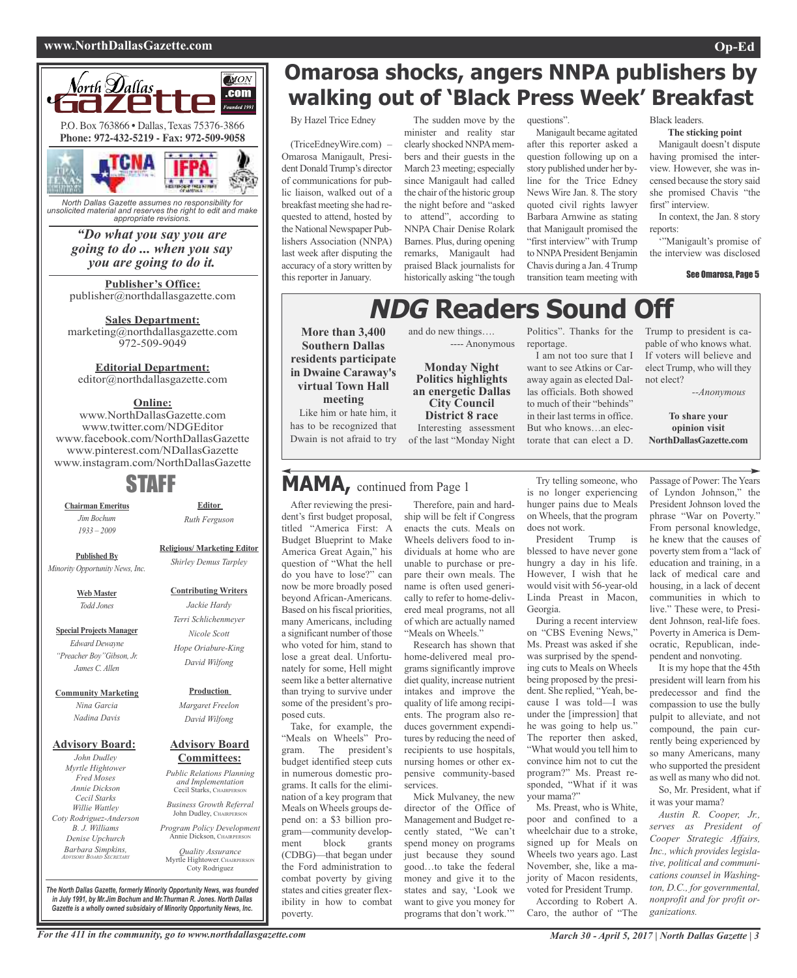#### **www.NorthDallasGazette.com Op-Ed**



*North Dallas Gazette assumes no responsibility for unsolicited material and reserves the right to edit and make appropriate revisions.*

> *"Do what you say you are going to do ... when you say you are going to do it.*

**Publisher's Office:** publisher@northdallasgazette.com

**Sales Department:** marketing@northdallasgazette.com 972-509-9049

## **Editorial Department:**

editor@northdallasgazette.com

## **Online:**

www.NorthDallasGazette.com www.twitter.com/NDGEditor www.facebook.com/NorthDallasGazette www.pinterest.com/NDallasGazette www.instagram.com/NorthDallasGazette

## STAFF

**Chairman Emeritus** *Jim Bochum 1933 – 2009*

**Religious/ Marketing Editor**

**Editor** *Ruth Ferguson*

**Published By** *Minority Opportunity News, Inc.*

> **Web Master** *Todd Jones*

**Special Projects Manager** *Edward Dewayne "Preacher Boy"Gibson, Jr. James C. Allen*

**Community Marketing** *Nina Garcia Nadina Davis*

#### **Advisory Board:**

*John Dudley Myrtle Hightower Fred Moses Annie Dickson Cecil Starks Willie Wattley Coty Rodriguez-Anderson B. J. Williams Denise Upchurch Barbara Simpkins, ADVISORY BOARD SECRETARY*

*David Wilfong* **Production** *Margaret Freelon*

*David Wilfong*

#### **Advisory Board Committees:**

*Public Relations Planning and Implementation* Cecil Starks, CHAIRPERSON

*Business Growth Referral* John Dudley, CHAIRPERSON

*Program Policy Development* Annie Dickson, Chairper

*Quality Assurance* Myrtle Hightower, CHAIRPERSON Coty Rodriguez

**Omarosa shocks, angers NNPA publishers by walking out of 'Black Press Week' Breakfast**

By Hazel Trice Edney

(TriceEdneyWire.com) – Omarosa Manigault, President Donald Trump's director of communications for public liaison, walked out of a breakfast meeting she had requested to attend, hosted by the National Newspaper Publishers Association (NNPA) last week after disputing the accuracy of a story written by this reporter in January.

The sudden move by the minister and reality star clearly shocked NNPAmembers and their guests in the March 23 meeting; especially since Manigault had called the chair of the historic group the night before and "asked to attend", according to NNPA Chair Denise Rolark Barnes. Plus, during opening remarks, Manigault had praised Black journalists for historically asking "the tough

and do new things….

**Monday Night Politics highlights an energetic Dallas City Council District 8 race** Interesting assessment of the last "Monday Night

---- Anonymous

#### questions".

Manigault became agitated after this reporter asked a question following up on a story published under her byline for the Trice Edney News Wire Jan. 8. The story quoted civil rights lawyer Barbara Arnwine as stating that Manigault promised the "first interview" with Trump to NNPA President Benjamin Chavis during a Jan. 4Trump transition team meeting with

Black leaders.

**The sticking point** Manigault doesn't dispute having promised the interview. However, she was incensed because the story said she promised Chavis "the first" interview.

In context, the Jan. 8 story reports:

'"Manigault's promise of the interview was disclosed

#### See Omarosa, Page 5

## **NDG Readers Sound Off**

**More than 3,400 Southern Dallas residents participate in Dwaine Caraway's virtual Town Hall meeting** Like him or hate him, it

has to be recognized that Dwain is not afraid to try

## **MAMA,** continued from Page <sup>1</sup>

After reviewing the president's first budget proposal, titled "America First: A Budget Blueprint to Make America Great Again," his question of "What the hell do you have to lose?" can now be more broadly posed beyond African-Americans. Based on his fiscal priorities, many Americans, including a significant number of those who voted for him, stand to lose a great deal. Unfortunately for some, Hell might seem like a better alternative than trying to survive under some of the president's proposed cuts.

Take, for example, the "Meals on Wheels" Program. The president's budget identified steep cuts in numerous domestic programs. It calls for the elimination of a key program that Meals on Wheels groups depend on: a \$3 billion program—community development block grants (CDBG)—that began under the Ford administration to combat poverty by giving states and cities greater flexibility in how to combat poverty.

Therefore, pain and hardship will be felt if Congress enacts the cuts. Meals on Wheels delivers food to individuals at home who are unable to purchase or prepare their own meals. The name is often used generically to refer to home-delivered meal programs, not all of which are actually named "Meals on Wheels."

Research has shown that home-delivered meal programs significantly improve diet quality, increase nutrient intakes and improve the quality of life among recipients. The program also reduces government expenditures by reducing the need of recipients to use hospitals, nursing homes or other expensive community-based services.

Mick Mulvaney, the new director of the Office of Management and Budget recently stated, "We can't spend money on programs just because they sound good…to take the federal money and give it to the states and say, 'Look we want to give you money for programs that don't work.""

Politics". Thanks for the reportage.

I am not too sure that I want to see Atkins or Caraway again as elected Dallas officials. Both showed to much of their "behinds" in their last terms in office. But who knows…an electorate that can elect a D.

Trump to president is capable of who knows what. If voters will believe and elect Trump, who will they not elect?

*--Anonymous*

**To share your opinion visit NorthDallasGazette.com**

Try telling someone, who is no longer experiencing hunger pains due to Meals on Wheels, that the program does not work. President Trump is

blessed to have never gone hungry a day in his life. However, I wish that he would visit with 56-year-old Linda Preast in Macon, Georgia.

During a recent interview on "CBS Evening News," Ms. Preast was asked if she was surprised by the spending cuts to Meals on Wheels being proposed by the president. She replied, "Yeah, because I was told—I was under the [impression] that he was going to help us." The reporter then asked, "What would you tell him to convince him not to cut the program?" Ms. Preast responded, "What if it was your mama?"

Ms. Preast, who is White, poor and confined to a wheelchair due to a stroke, signed up for Meals on Wheels two years ago. Last November, she, like a majority of Macon residents, voted for President Trump. According to Robert A.

Caro, the author of "The

Passage of Power: The Years of Lyndon Johnson," the President Johnson loved the phrase "War on Poverty." From personal knowledge, he knew that the causes of poverty stem from a "lack of education and training, in a lack of medical care and housing, in a lack of decent communities in which to live." These were, to President Johnson, real-life foes. Poverty in America is Democratic, Republican, independent and nonvoting.

It is my hope that the 45th president will learn from his predecessor and find the compassion to use the bully pulpit to alleviate, and not compound, the pain currently being experienced by so many Americans, many who supported the president as well as many who did not.

So, Mr. President, what if it was your mama?

*Austin R. Cooper, Jr., serves as President of Cooper Strategic Affairs, Inc., which provides legislative, political and communications counsel in Washington, D.C., for governmental, nonprofit and for profit organizations.*

*The North Dallas Gazette, formerly Minority Opportunity News, was founded in July 1991, by Mr.Jim Bochum and Mr.Thurman R. Jones. North Dallas Gazette is a wholly owned subsidairy of Minority Opportunity News, Inc.*

*Shirley Demus Tarpley*

## **Contributing Writers**

## *Jackie Hardy Terri Schlichenmeyer Nicole Scott Hope Oriabure-King*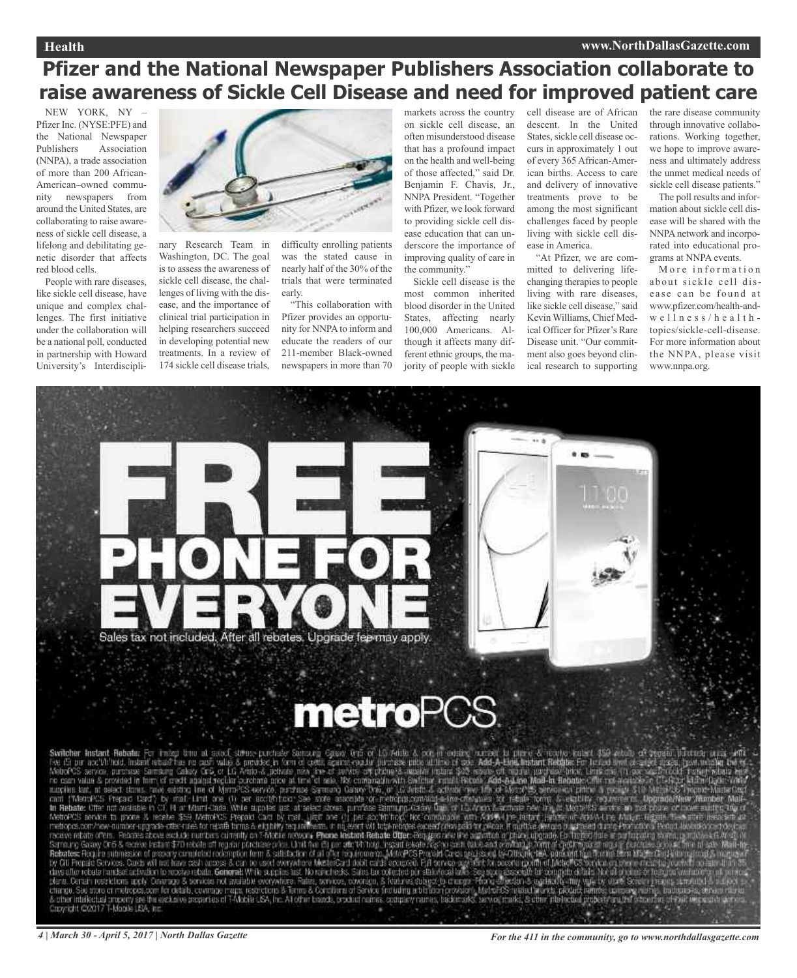## **Pfizer and the National Newspaper Publishers Association collaborate to raise awareness of Sickle Cell Disease and need for improved patient care**

NEW YORK, NY – Pfizer Inc. (NYSE:PFE) and the National Newspaper Publishers Association (NNPA), a trade association of more than 200 African-American–owned community newspapers from around the United States, are collaborating to raise awareness of sickle cell disease, a lifelong and debilitating genetic disorder that affects red blood cells.

People with rare diseases, like sickle cell disease, have unique and complex challenges. The first initiative under the collaboration will be a national poll, conducted in partnership with Howard University's Interdiscipli-



nary Research Team in Washington, DC. The goal is to assess the awareness of sickle cell disease, the challenges of living with the disease, and the importance of clinical trial participation in helping researchers succeed in developing potential new treatments. In a review of 174 sickle cell disease trials,

difficulty enrolling patients was the stated cause in nearly half of the 30% of the trials that were terminated early.

"This collaboration with Pfizer provides an opportunity for NNPA to inform and educate the readers of our 211-member Black-owned newspapers in more than 70

markets across the country on sickle cell disease, an often misunderstood disease that has a profound impact on the health and well-being of those affected," said Dr. Benjamin F. Chavis, Jr., NNPA President. "Together with Pfizer, we look forward to providing sickle cell disease education that can underscore the importance of improving quality of care in the community."

Sickle cell disease is the most common inherited blood disorder in the United States, affecting nearly 100,000 Americans. Although it affects many different ethnic groups, the majority of people with sickle

cell disease are of African descent. In the United States, sickle cell disease occurs in approximately 1 out of every 365 African-American births. Access to care and delivery of innovative treatments prove to be among the most significant challenges faced by people living with sickle cell disease in America.

"At Pfizer, we are committed to delivering lifechanging therapies to people living with rare diseases, like sickle cell disease," said Kevin Williams, Chief Medical Officer for Pfizer's Rare Disease unit. "Our commitment also goes beyond clinical research to supporting the rare disease community through innovative collaborations. Working together, we hope to improve awareness and ultimately address the unmet medical needs of sickle cell disease patients."

The poll results and information about sickle cell disease will be shared with the NNPAnetwork and incorporated into educational programs at NNPA events.

More information about sickle cell disease can be found at www.pfizer.com/health-and $w$ e l l n e s s / h e a l t h topics/sickle-cell-disease. For more information about the NNPA, please visit www.nnpa.org.



Switcher Instant Rebeter For interactional and context context of the context of the context of the context of the context of the context of the context of the context of the context of the context of the context of the c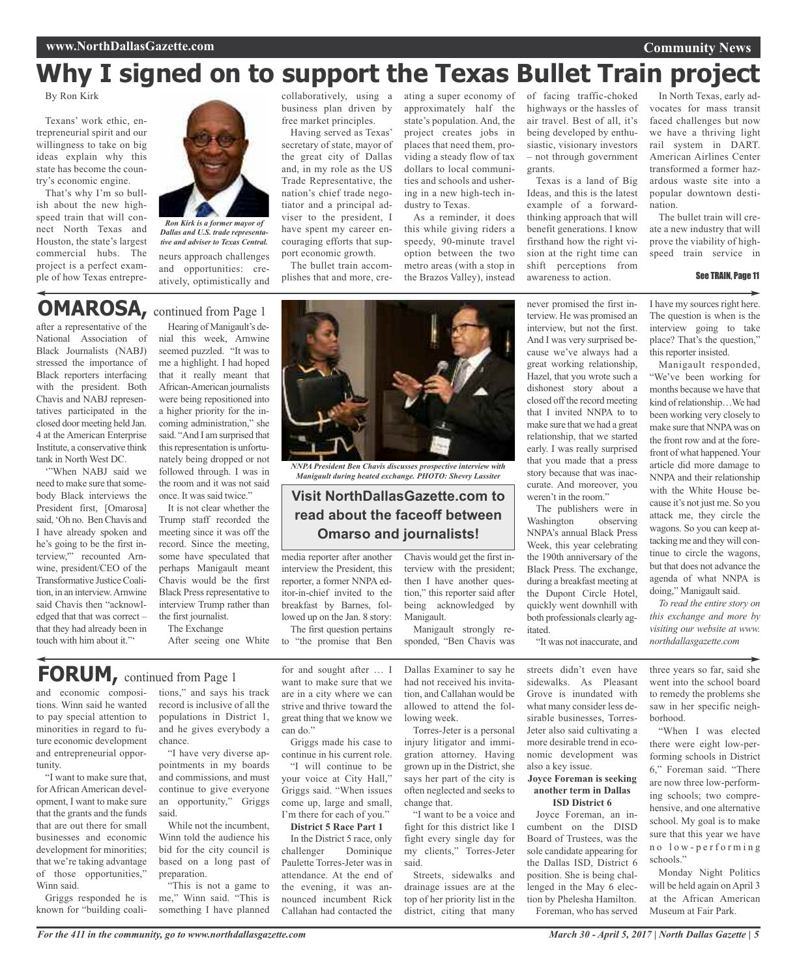## **Why I signed on to support the Texas Bullet Train project**

By Ron Kirk

Texans' work ethic, entrepreneurial spirit and our willingness to take on big ideas explain why this state has become the country's economic engine.

That's why I'm so bullish about the new highspeed train that will connect North Texas and Houston, the state's largest commercial hubs. The project is a perfect example of how Texas entrepre-



neurs approach challenges and opportunities: creatively, optimistically and *Dallas and U.S. trade representative and adviser to Texas Central.*

business plan driven by free market principles.

Having served as Texas' secretary of state, mayor of the great city of Dallas and, in my role as the US Trade Representative, the nation's chief trade negotiator and a principal adviser to the president, I have spent my career encouraging efforts that support economic growth.

The bullet train accomplishes that and more, cre-

collaboratively, using a ating a super economy of of facing traffic-choked approximately half the state's population. And, the project creates jobs in places that need them, providing a steady flow of tax dollars to local communities and schools and ushering in a new high-tech industry to Texas.

> As a reminder, it does this while giving riders a speedy, 90-minute travel option between the two metro areas (with a stop in the Brazos Valley), instead

highways or the hassles of air travel. Best of all, it's being developed by enthusiastic, visionary investors – not through government grants.

Texas is a land of Big Ideas, and this is the latest example of a forwardthinking approach that will benefit generations. I know firsthand how the right vision at the right time can shift perceptions from awareness to action.

never promised the first interview. He was promised an interview, but not the first. And I was very surprised because we've always had a great working relationship, Hazel, that you wrote such a dishonest story about a closed off the record meeting that I invited NNPA to to make sure that we had a great relationship, that we started early. I was really surprised that you made that a press story because that was inaccurate. And moreover, you weren't in the room."

In North Texas, early advocates for mass transit faced challenges but now we have a thriving light rail system in DART. American Airlines Center transformed a former hazardous waste site into a popular downtown destination.

**Community News**

The bullet train will create a new industry that will prove the viability of highspeed train service in

## **OMAROSA,** continued from Page <sup>1</sup>

after a representative of the National Association of Black Journalists (NABJ) stressed the importance of Black reporters interfacing with the president. Both Chavis and NABJ representatives participated in the closed door meeting held Jan. 4 at the American Enterprise Institute, a conservative think tank in North West DC.

'"When NABJ said we need to make sure that somebody Black interviews the President first, [Omarosa] said,'Oh no. BenChavis and I have already spoken and he's going to be the first interview,'" recounted Arnwine, president/CEO of the Transformative JusticeCoalition, in an interview.Arnwine said Chavis then "acknowledged that that was correct – that they had already been in touch with him about it."'

Hearing of Manigault's denial this week, Arnwine seemed puzzled. "It was to me a highlight. I had hoped that it really meant that African-American journalists were being repositioned into a higher priority for the incoming administration," she said. "And I am surprised that this representation is unfortunately being dropped or not followed through. I was in the room and it was not said

once. It was said twice." It is not clear whether the Trump staff recorded the meeting since it was off the record. Since the meeting, some have speculated that perhaps Manigault meant Chavis would be the first Black Press representative to interview Trump rather than the first journalist.

The Exchange After seeing one White to "the promise that Ben

## **FORUM,** continued from Page <sup>1</sup>

and economic compositions. Winn said he wanted to pay special attention to minorities in regard to future economic development and entrepreneurial opportunity.

"I want to make sure that, for African American development, I want to make sure that the grants and the funds that are out there for small businesses and economic development for minorities; that we're taking advantage of those opportunities," Winn said.

Griggs responded he is known for "building coali-

tions," and says his track record is inclusive of all the populations in District 1, and he gives everybody a chance.

"I have very diverse appointments in my boards and commissions, and must continue to give everyone an opportunity," Griggs said.

While not the incumbent, Winn told the audience his bid for the city council is based on a long past of preparation.

"This is not a game to me," Winn said. "This is something I have planned

for and sought after … I want to make sure that we are in a city where we can strive and thrive toward the great thing that we know we can do."

media reporter after another interview the President, this reporter, a former NNPA editor-in-chief invited to the breakfast by Barnes, followed up on the Jan. 8 story: The first question pertains

Griggs made his case to continue in his current role.

"I will continue to be your voice at City Hall," Griggs said. "When issues come up, large and small, I'm there for each of you."

**District 5 Race Part 1**

In the District 5 race, only challenger Dominique Paulette Torres-Jeter was in attendance. At the end of the evening, it was announced incumbent Rick Callahan had contacted the

Dallas Examiner to say he had not received his invitation, and Callahan would be allowed to attend the following week.

Manigault strongly responded, "Ben Chavis was

Chavis would get the first interview with the president; then I have another question," this reporter said after being acknowledged by

Manigault.

*NNPA President Ben Chavis discusses prospective interview with Manigault during heated exchange. PHOTO: Shevry Lassiter*

**Visit NorthDallasGazette.com to read about the faceoff between Omarso and journalists!**

> Torres-Jeter is a personal injury litigator and immigration attorney. Having grown up in the District, she says her part of the city is often neglected and seeks to change that.

> "I want to be a voice and fight for this district like I fight every single day for my clients," Torres-Jeter said.

Streets, sidewalks and drainage issues are at the top of her priority list in the district, citing that many

streets didn't even have sidewalks. As Pleasant Grove is inundated with what many consider less desirable businesses, Torres-Jeter also said cultivating a more desirable trend in economic development was also a key issue.

"It was not inaccurate, and

itated.

The publishers were in Washington observing NNPA's annual Black Press Week, this year celebrating the 190th anniversary of the Black Press. The exchange, during a breakfast meeting at the Dupont Circle Hotel, quickly went downhill with both professionals clearly ag-

#### **Joyce Foreman is seeking another term in Dallas ISD District 6**

Joyce Foreman, an incumbent on the DISD Board of Trustees, was the sole candidate appearing for the Dallas ISD, District 6 position. She is being challenged in the May 6 election by Phelesha Hamilton. Foreman, who has served

See TRAIN, Page 11 I have my sources right here.

The question is when is the interview going to take place? That's the question," this reporter insisted. Manigault responded,

"We've been working for months because we have that kind of relationship...We had been working very closely to make sure that NNPAwas on the front row and at the forefront of what happened.Your article did more damage to NNPA and their relationship with the White House because it's not just me. So you attack me, they circle the wagons. So you can keep attacking me and they will continue to circle the wagons, but that does not advance the agenda of what NNPA is doing," Manigault said.

*To read the entire story on this exchange and more by visiting our website at www. northdallasgazette.com*

three years so far, said she went into the school board to remedy the problems she saw in her specific neighborhood.

"When I was elected there were eight low-performing schools in District 6," Foreman said. "There are now three low-performing schools; two comprehensive, and one alternative school. My goal is to make sure that this year we have n o l o w - p e r f o r m i n g schools."

Monday Night Politics will be held again on April 3 at the African American Museum at Fair Park.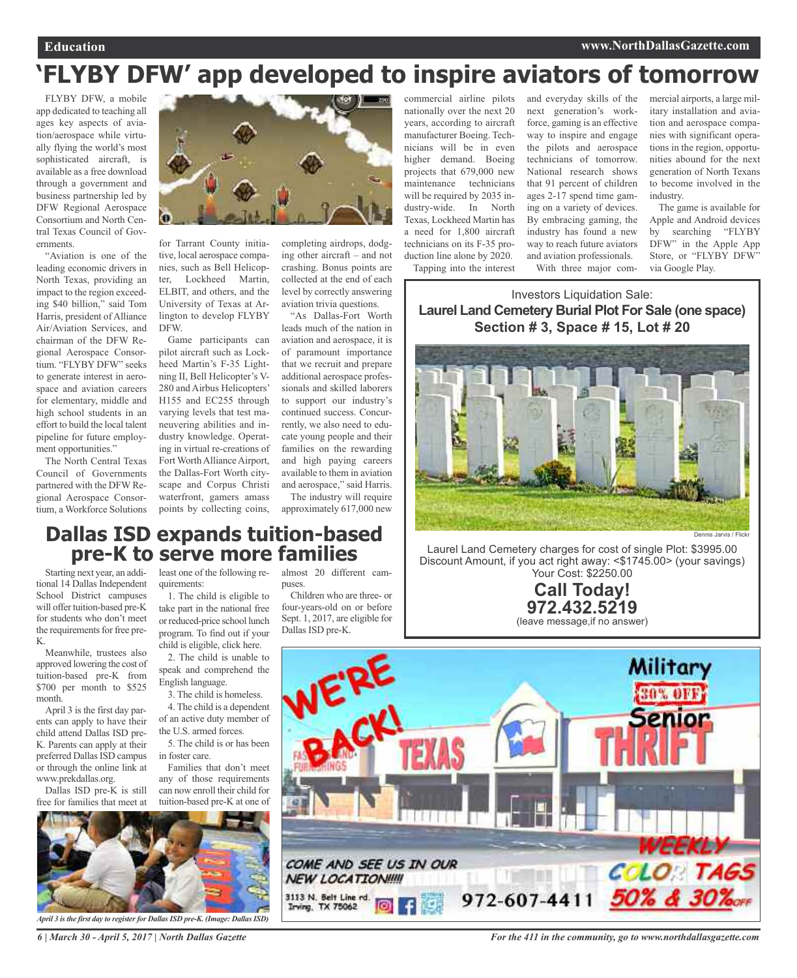## **'FLYBY DFW' app developed to inspire aviators of tomorrow**

FLYBY DFW, a mobile app dedicated to teaching all ages key aspects of aviation/aerospace while virtually flying the world's most sophisticated aircraft, is available as a free download through a government and business partnership led by DFW Regional Aerospace Consortium and North Central Texas Council of Governments.

"Aviation is one of the leading economic drivers in North Texas, providing an impact to the region exceeding \$40 billion," said Tom Harris, president of Alliance Air/Aviation Services, and chairman of the DFW Regional Aerospace Consortium. "FLYBY DFW" seeks to generate interest in aerospace and aviation careers for elementary, middle and high school students in an effort to build the local talent pipeline for future employment opportunities."

The North Central Texas Council of Governments partnered with the DFW Regional Aerospace Consortium, a Workforce Solutions



for Tarrant County initiative, local aerospace companies, such as Bell Helicopter, Lockheed Martin, ELBIT, and others, and the University of Texas at Arlington to develop FLYBY DFW.

Game participants can pilot aircraft such as Lockheed Martin's F-35 Lightning II, Bell Helicopter's V-280 and Airbus Helicopters' H155 and EC255 through varying levels that test maneuvering abilities and industry knowledge. Operating in virtual re-creations of Fort Worth Alliance Airport, the Dallas-Fort Worth cityscape and Corpus Christi waterfront, gamers amass points by collecting coins, completing airdrops, dodging other aircraft – and not crashing. Bonus points are collected at the end of each level by correctly answering aviation trivia questions.

"As Dallas-Fort Worth leads much of the nation in aviation and aerospace, it is of paramount importance that we recruit and prepare additional aerospace professionals and skilled laborers to support our industry's continued success. Concurrently, we also need to educate young people and their families on the rewarding and high paying careers available to them in aviation and aerospace," said Harris. The industry will require

approximately 617,000 new

commercial airline pilots nationally over the next 20 years, according to aircraft manufacturer Boeing. Technicians will be in even higher demand. Boeing projects that 679,000 new maintenance technicians will be required by 2035 industry-wide. In North Texas, Lockheed Martin has a need for 1,800 aircraft technicians on its F-35 production line alone by 2020. Tapping into the interest

and everyday skills of the next generation's workforce, gaming is an effective way to inspire and engage the pilots and aerospace technicians of tomorrow. National research shows that 91 percent of children ages 2-17 spend time gaming on a variety of devices. By embracing gaming, the industry has found a new way to reach future aviators and aviation professionals. With three major commercial airports, a large military installation and aviation and aerospace companies with significant operations in the region, opportunities abound for the next generation of North Texans to become involved in the industry.

The game is available for Apple and Android devices by searching "FLYBY DFW" in the Apple App Store, or "FLYBY DFW" via Google Play.

Investors Liquidation Sale: **Laurel Land Cemetery Burial Plot For Sale (one space) Section # 3, Space # 15, Lot # 20**



Laurel Land Cemetery charges for cost of single Plot: \$3995.00 Discount Amount, if you act right away: <\$1745.00> (your savings) Your Cost: \$2250.00

> **Call Today! 972.432.5219** (leave message,if no answer)

## **Dallas ISD expands tuition-based pre-K to serve more families**

Starting next year, an additional 14 Dallas Independent School District campuses will offer tuition-based pre-K for students who don't meet the requirements for free pre-K.

Meanwhile, trustees also approved lowering the cost of tuition-based pre-K from \$700 per month to \$525 month.

April 3 is the first day parents can apply to have their child attend Dallas ISD pre-K. Parents can apply at their preferred Dallas ISD campus or through the online link at www.prekdallas.org.

Dallas ISD pre-K is still free for families that meet at least one of the following requirements:

1. The child is eligible to take part in the national free or reduced-price school lunch program. To find out if your child is eligible, click here.

2. The child is unable to speak and comprehend the English language.

3. The child is homeless. 4. The child is a dependent of an active duty member of

the U.S. armed forces. 5. The child is or has been

in foster care. Families that don't meet any of those requirements can now enroll their child for tuition-based pre-K at one of almost 20 different campuses.

Children who are three- or four-years-old on or before Sept. 1, 2017, are eligible for Dallas ISD pre-K.



*April 3 isthe first day to registerfor DallasISD pre-K. (Image: DallasISD)*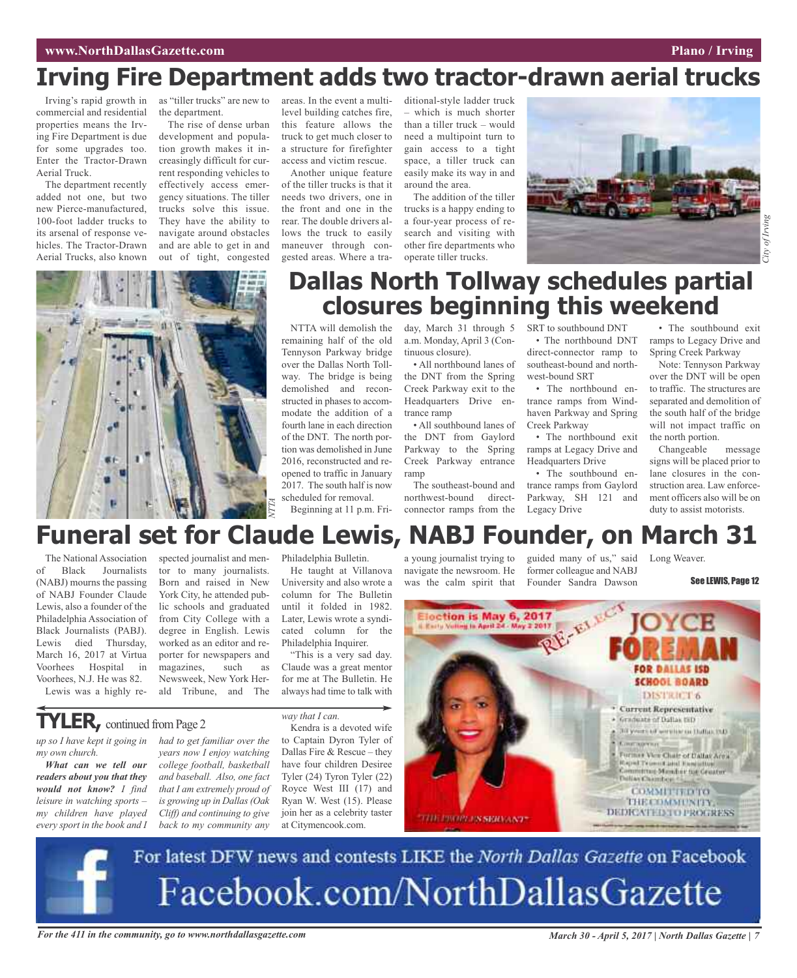## **Irving Fire Department adds two tractor-drawn aerial trucks**

Irving's rapid growth in commercial and residential properties means the Irving Fire Department is due for some upgrades too. Enter the Tractor-Drawn Aerial Truck.

The department recently added not one, but two new Pierce-manufactured, 100-foot ladder trucks to its arsenal of response vehicles. The Tractor-Drawn Aerial Trucks, also known as "tiller trucks" are new to the department.

The rise of dense urban development and population growth makes it increasingly difficult for current responding vehicles to effectively access emergency situations. The tiller trucks solve this issue. They have the ability to navigate around obstacles and are able to get in and out of tight, congested

areas. In the event a multilevel building catches fire, this feature allows the truck to get much closer to a structure for firefighter access and victim rescue.

Another unique feature of the tiller trucks is that it needs two drivers, one in the front and one in the rear. The double drivers allows the truck to easily maneuver through congested areas. Where a traditional-style ladder truck which is much shorter than a tiller truck – would need a multipoint turn to gain access to a tight space, a tiller truck can easily make its way in and around the area.

The addition of the tiller trucks is a happy ending to a four-year process of research and visiting with other fire departments who operate tiller trucks.



## *City of Irving* of Irvin<sub>č</sub>

# *NTTA*

## **Dallas North Tollway schedules partial closures beginning this weekend**

NTTA will demolish the remaining half of the old Tennyson Parkway bridge over the Dallas North Tollway. The bridge is being demolished and reconstructed in phases to accommodate the addition of a fourth lane in each direction of the DNT. The north portion was demolished in June 2016, reconstructed and reopened to traffic in January 2017. The south half is now scheduled for removal.

Beginning at 11 p.m. Fri-

day, March 31 through 5 a.m. Monday, April 3 (Continuous closure).

• All northbound lanes of the DNT from the Spring Creek Parkway exit to the Headquarters Drive entrance ramp

• All southbound lanes of the DNT from Gaylord Parkway to the Spring Creek Parkway entrance ramp

The southeast-bound and northwest-bound directconnector ramps from the SRT to southbound DNT • The northbound DNT direct-connector ramp to southeast-bound and north-

west-bound SRT • The northbound entrance ramps from Windhaven Parkway and Spring Creek Parkway

• The northbound exit ramps at Legacy Drive and Headquarters Drive

• The southbound entrance ramps from Gaylord Parkway, SH 121 and Legacy Drive

• The southbound exit ramps to Legacy Drive and Spring Creek Parkway

Note: Tennyson Parkway over the DNT will be open to traffic. The structures are separated and demolition of the south half of the bridge will not impact traffic on the north portion.

Changeable message signs will be placed prior to lane closures in the construction area. Law enforcement officers also will be on duty to assist motorists.

## **Funeral set for Claude Lewis, NABJ Founder, on March 31**

The National Association of Black Journalists (NABJ) mourns the passing of NABJ Founder Claude Lewis, also a founder of the Philadelphia Association of Black Journalists (PABJ). Lewis died Thursday, March 16, 2017 at Virtua Voorhees Hospital in Voorhees, N.J. He was 82. Lewis was a highly re-

*up so I have kept it going in*

**TYLER**, continued from Page 2

*What can we tell our readers about you that they would not know? I find leisure in watching sports – my children have played every sport in the book and I*

*my own church.*

spected journalist and mentor to many journalists. Born and raised in New York City, he attended public schools and graduated from City College with a degree in English. Lewis worked as an editor and reporter for newspapers and magazines, such as Newsweek, New York Herald Tribune, and The

*years now I enjoy watching college football, basketball and baseball. Also, one fact that I am extremely proud of is growing up in Dallas(Oak Cliff) and continuing to give back to my community any* Philadelphia Bulletin.

He taught at Villanova University and also wrote a column for The Bulletin until it folded in 1982. Later, Lewis wrote a syndicated column for the Philadelphia Inquirer.

"This is a very sad day. Claude was a great mentor for me at The Bulletin. He always had time to talk with

Dallas Fire & Rescue – they have four children Desiree Tyler (24) Tyron Tyler (22) Royce West III (17) and Ryan W. West (15). Please join her as a celebrity taster at Citymencook.com.

*had to get familiar over the way that I can.* Kendra is a devoted wife to Captain Dyron Tyler of

a young journalist trying to navigate the newsroom. He was the calm spirit that

guided many of us," said former colleague and NABJ Founder Sandra Dawson

Long Weaver.

See LEWIS, Page 12



For latest DFW news and contests LIKE the North Dallas Gazette on Facebook Facebook.com/NorthDallasGazette

For the 411 in the community, go to www.northdallasgazette.com March 30 - April 5, 2017 | North Dallas Gazette | 7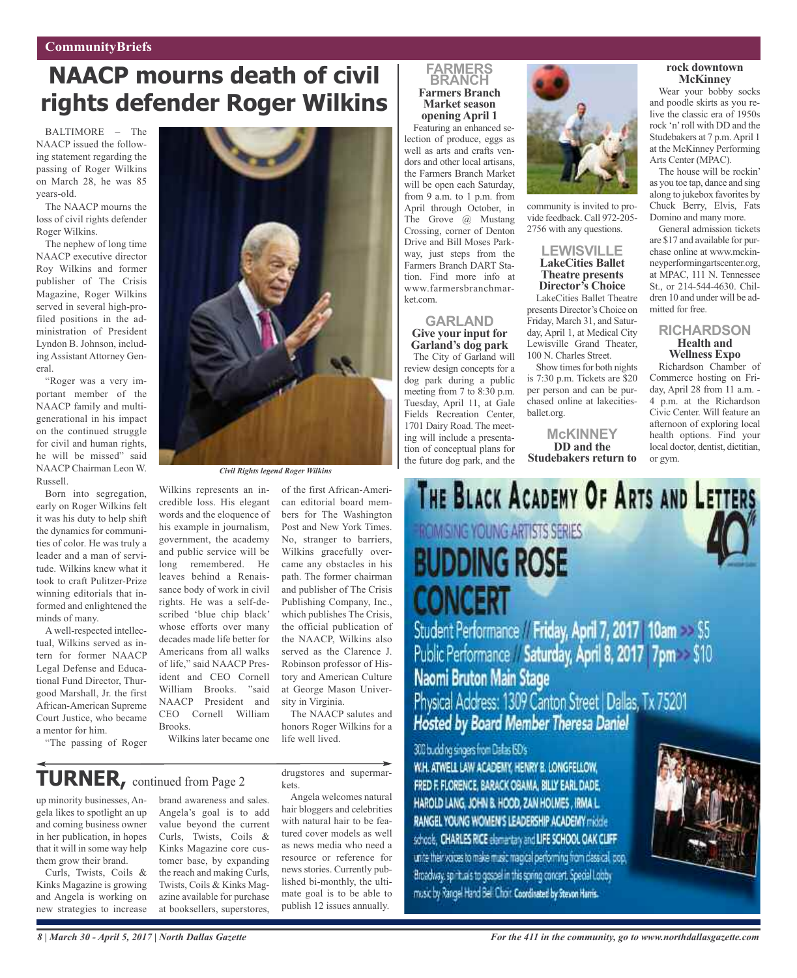## **CommunityBriefs**

## **NAACP mourns death of civil rights defender Roger Wilkins**

BALTIMORE – The NAACP issued the following statement regarding the passing of Roger Wilkins on March 28, he was 85 years-old.

The NAACP mourns the loss of civil rights defender Roger Wilkins.

The nephew of long time NAACP executive director Roy Wilkins and former publisher of The Crisis Magazine, Roger Wilkins served in several high-profiled positions in the administration of President Lyndon B. Johnson, including Assistant Attorney General.

"Roger was a very important member of the NAACP family and multigenerational in his impact on the continued struggle for civil and human rights, he will be missed" said NAACP Chairman Leon W. Russell.

Born into segregation, early on Roger Wilkins felt it was his duty to help shift the dynamics for communities of color. He was truly a leader and a man of servitude. Wilkins knew what it took to craft Pulitzer-Prize winning editorials that informed and enlightened the minds of many.

A well-respected intellectual, Wilkins served as intern for former NAACP Legal Defense and Educational Fund Director, Thurgood Marshall, Jr. the first African-American Supreme Court Justice, who became a mentor for him.

"The passing of Roger



*Civil Rights legend Roger Wilkins*

Wilkins represents an incredible loss. His elegant words and the eloquence of his example in journalism, government, the academy and public service will be long remembered. He leaves behind a Renaissance body of work in civil rights. He was a self-described 'blue chip black' whose efforts over many decades made life better for Americans from all walks of life," said NAACP President and CEO Cornell William Brooks. "said NAACP President and CEO Cornell William Brooks. Wilkins later became one

of the first African-American editorial board members for The Washington Post and New York Times. No, stranger to barriers, Wilkins gracefully overcame any obstacles in his path. The former chairman and publisher of The Crisis Publishing Company, Inc., which publishes The Crisis, the official publication of the NAACP, Wilkins also served as the Clarence J. Robinson professor of History and American Culture at George Mason University in Virginia.

The NAACP salutes and honors Roger Wilkins for a life well lived.

## **TURNER,** continued from Page <sup>2</sup>

up minority businesses, Angela likes to spotlight an up and coming business owner in her publication, in hopes that it will in some way help them grow their brand.

Curls, Twists, Coils & Kinks Magazine is growing and Angela is working on new strategies to increase brand awareness and sales. Angela's goal is to add value beyond the current Curls, Twists, Coils & Kinks Magazine core customer base, by expanding the reach and making Curls, Twists, Coils & Kinks Magazine available for purchase at booksellers, superstores, drugstores and supermarkets.

Angela welcomes natural hair bloggers and celebrities with natural hair to be featured cover models as well as news media who need a resource or reference for news stories. Currently published bi-monthly, the ultimate goal is to be able to publish 12 issues annually.

## **FARMERS BRANCH Farmers Branch Market season opening April 1**

Featuring an enhanced selection of produce, eggs as well as arts and crafts vendors and other local artisans, the Farmers Branch Market will be open each Saturday, from 9 a.m. to 1 p.m. from April through October, in The Grove @ Mustang Crossing, corner of Denton Drive and Bill Moses Parkway, just steps from the Farmers Branch DART Station. Find more info at www.farmersbranchmarket.com.

#### **GARLAND Give your input for Garland's dog park**

The City of Garland will review design concepts for a dog park during a public meeting from 7 to 8:30 p.m. Tuesday, April 11, at Gale Fields Recreation Center, 1701 Dairy Road. The meeting will include a presentation of conceptual plans for the future dog park, and the



community is invited to provide feedback. Call 972-205- 2756 with any questions.

#### **LEWISVILLE LakeCities Ballet Theatre presents Director's Choice**

LakeCities Ballet Theatre presents Director's Choice on Friday, March 31, and Saturday, April 1, at Medical City Lewisville Grand Theater, 100 N. Charles Street.

Show times for both nights is 7:30 p.m. Tickets are \$20 per person and can be purchased online at lakecitiesballet.org.

**McKINNEY DD and the Studebakers return to**

#### **rock downtown McKinney**

Wear your bobby socks and poodle skirts as you relive the classic era of 1950s rock 'n'roll with DD and the Studebakers at 7 p.m.April 1 at the McKinney Performing Arts Center (MPAC).

The house will be rockin' as you toe tap, dance and sing along to jukebox favorites by Chuck Berry, Elvis, Fats Domino and many more.

General admission tickets are \$17 and available for purchase online at www.mckinneyperformingartscenter.org, at MPAC, 111 N. Tennessee St., or 214-544-4630. Children 10 and under will be admitted for free.

#### **RICHARDSON Health and Wellness Expo**

Richardson Chamber of Commerce hosting on Friday, April 28 from 11 a.m. - 4 p.m. at the Richardson Civic Center. Will feature an afternoon of exploring local health options. Find your local doctor, dentist, dietitian, or gym.



Public Performance Saturday, April 8, 2017 7pm \$10 Naomi Bruton Main Stage Physical Address: 1309 Canton Street | Dallas, Tx 75201 Hosted by Board Member Theresa Daniel

300 budding singers from Dafas ISD's

W.H. ATWELL LAW ACADEMY, HENRY B. LONGFELLOW, FRED F. FLORENCE, BARACK OBAMA, BILLY EARL DADE, HAROLD LANG, JOHN B. HOOD, ZAN HOUNES, IRMA L. RANGEL YOUNG WOMEN'S LEADERSHIP ACADEMY middle schools, CHARLES RICE elementary and LIFE SCHOOL OAK CLIFF. unite their voices to make music magical performing from dassical, pop, Broadway, spirituals to gospel in this spring concert. Special Looby music by Rangel Hand Bell Choir Coordinated by Stevon Harris.



*8 | March 30 - April 5, 2017 | North Dallas Gazette*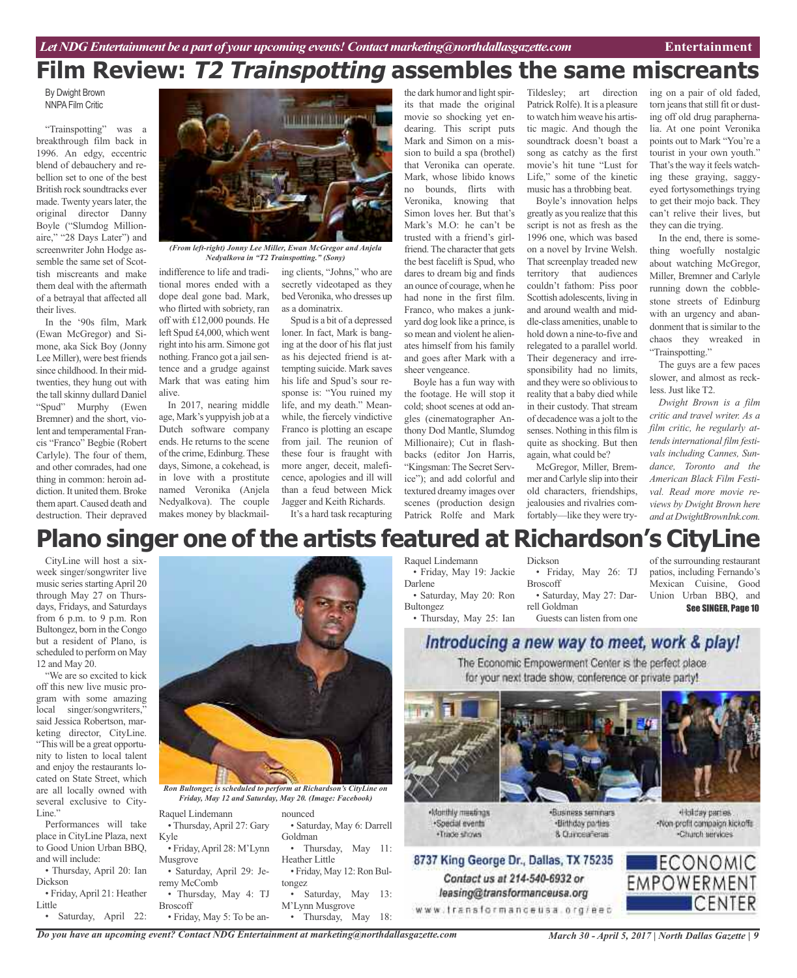## **Film Review: T2 Trainspotting assembles the same miscreants**

By Dwight Brown NNPA Film Critic

"Trainspotting" was a breakthrough film back in 1996. An edgy, eccentric blend of debauchery and rebellion set to one of the best British rock soundtracks ever made. Twenty years later, the original director Danny Boyle ("Slumdog Millionaire," "28 Days Later") and screenwriter John Hodge assemble the same set of Scottish miscreants and make them deal with the aftermath of a betrayal that affected all their lives.

In the '90s film, Mark (Ewan McGregor) and Simone, aka Sick Boy (Jonny Lee Miller), were best friends since childhood. In their midtwenties, they hung out with the tall skinny dullard Daniel "Spud" Murphy (Ewen Bremner) and the short, violent and temperamental Francis "Franco" Begbie (Robert Carlyle). The four of them, and other comrades, had one thing in common: heroin addiction. It united them. Broke them apart. Caused death and destruction. Their depraved



*(From left-right) Jonny Lee Miller, Ewan McGregor and Anjela Nedyalkova in "T2 Trainspotting." (Sony)*

indifference to life and traditional mores ended with a dope deal gone bad. Mark, who flirted with sobriety, ran off with £12,000 pounds. He left Spud £4,000, which went right into his arm. Simone got nothing. Franco got a jail sentence and a grudge against Mark that was eating him alive.

In 2017, nearing middle age, Mark's yuppyish job at a Dutch software company ends. He returns to the scene ofthe crime, Edinburg.These days, Simone, a cokehead, is in love with a prostitute named Veronika (Anjela Nedyalkova). The couple makes money by blackmailing clients, "Johns," who are secretly videotaped as they bed Veronika, who dresses up as a dominatrix.

Spud is a bit of a depressed loner. In fact, Mark is banging at the door of his flat just as his dejected friend is attempting suicide. Mark saves his life and Spud's sour response is: "You ruined my life, and my death." Meanwhile, the fiercely vindictive Franco is plotting an escape from jail. The reunion of these four is fraught with more anger, deceit, maleficence, apologies and ill will than a feud between Mick Jagger and Keith Richards.

It's a hard task recapturing

the dark humor and light spirits that made the original movie so shocking yet endearing. This script puts Mark and Simon on a mission to build a spa (brothel) that Veronika can operate. Mark, whose libido knows no bounds, flirts with Veronika, knowing that Simon loves her. But that's Mark's M.O: he can't be trusted with a friend's girlfriend. The character that gets the best facelift is Spud, who dares to dream big and finds an ounce of courage, when he had none in the first film. Franco, who makes a junkyard dog look like a prince, is so mean and violent he alienates himself from his family and goes after Mark with a sheer vengeance.

Boyle has a fun way with the footage. He will stop it cold; shoot scenes at odd angles (cinematographer Anthony Dod Mantle, Slumdog Millionaire); Cut in flashbacks (editor Jon Harris, "Kingsman:The Secret Service"); and add colorful and textured dreamy images over scenes (production design Patrick Rolfe and Mark

Tildesley; art direction Patrick Rolfe). It is a pleasure to watch him weave his artistic magic. And though the soundtrack doesn't boast a song as catchy as the first movie's hit tune "Lust for Life," some of the kinetic music has a throbbing beat.

Boyle's innovation helps greatly as you realize that this script is not as fresh as the 1996 one, which was based on a novel by Irvine Welsh. That screenplay treaded new territory that audiences couldn't fathom: Piss poor Scottish adolescents, living in and around wealth and middle-class amenities, unable to hold down a nine-to-five and relegated to a parallel world. Their degeneracy and irresponsibility had no limits, and they were so oblivious to reality that a baby died while in their custody. That stream of decadence was a jolt to the senses. Nothing in this film is quite as shocking. But then again, what could be?

McGregor, Miller, Bremmer andCarlyle slip into their old characters, friendships, jealousies and rivalries comfortably—like they were try-

ing on a pair of old faded, torn jeans that still fit or dusting off old drug paraphernalia. At one point Veronika points out to Mark "You're a tourist in your own youth." That's the way it feels watching these graying, saggyeyed fortysomethings trying to get their mojo back. They can't relive their lives, but they can die trying.

In the end, there is something woefully nostalgic about watching McGregor, Miller, Bremner and Carlyle running down the cobblestone streets of Edinburg with an urgency and abandonment that is similar to the chaos they wreaked in "Trainspotting."

The guys are a few paces slower, and almost as reckless. Just like T2.

*Dwight Brown is a film critic and travel writer. As a film critic, he regularly attendsinternational film festivals including Cannes, Sundance, Toronto and the American Black Film Festival. Read more movie reviews by Dwight Brown here and at DwightBrownInk.com.*

of the surrounding restaurant patios, including Fernando's Mexican Cuisine, Good Union Urban BBQ, and

See SINGER, Page 10

## **Plano singer one of the artists featured at Richardson's CityLine**

CityLine will host a sixweek singer/songwriter live music series starting April 20 through May 27 on Thursdays, Fridays, and Saturdays from 6 p.m. to 9 p.m. Ron Bultongez, born in the Congo but a resident of Plano, is scheduled to perform on May 12 and May 20.

"We are so excited to kick off this new live music program with some amazing local singer/songwriters, said Jessica Robertson, marketing director, CityLine. "This will be a great opportunity to listen to local talent and enjoy the restaurants located on State Street, which are all locally owned with several exclusive to City-Line."

Performances will take place in CityLine Plaza, next to Good Union Urban BBQ, and will include:

• Thursday, April 20: Ian Dickson

• Friday, April 21: Heather Little

• Saturday, April 22:



*Ron Bultongez is scheduled to perform at Richardson's CityLine on Friday, May 12 and Saturday, May 20. (Image: Facebook)*

| Raquel Lindemann           | nounced         |
|----------------------------|-----------------|
| · Thursday, April 27: Gary | $\bullet$ Satur |
| Kyle                       | Goldmai         |
| · Friday, April 28: M'Lynn | Th              |
| Musgrove                   | Heather         |
| · Saturday, April 29: Je-  | $\bullet$ Frida |
| remy McComb                | tongez          |
| · Thursday, May 4: TJ      | <b>Sa</b>       |
| <b>Broscoff</b>            | M'Lynn          |
| · Friday, May 5: To be an- | Th              |

nounced rday, May 6: Darrell Goldman ursday, May 11: **Little** ay, May 12: Ron Bulturday, May 13:

Musgrove hursday, May 18:

## Dickson

• Friday, May 19: Jackie Darlene • Saturday, May 20: Ron Bultongez

• Thursday, May 25: Ian

Raquel Lindemann

• Friday, May 26: TJ Broscoff • Saturday, May 27: Darrell Goldman

Guests can listen from one

## Introducing a new way to meet, work & play!

The Economic Empowerment Center is the perfect place for your next trade show, conference or private party!



Nonthly meetings ·Soedal events . Trade shows

·Business seminars ·Birthday parties 8 Currosafena

«Holday parties. Non-profit compaign kickoffs -Church territies



*March 30 - April 5, 2017 | North Dallas Gazette | 9 Do you have an upcoming event? Contact NDG Entertainment at marketing@northdallasgazette.com*

Contact us at 214-540-6932 or

leasing@transformanceusa.org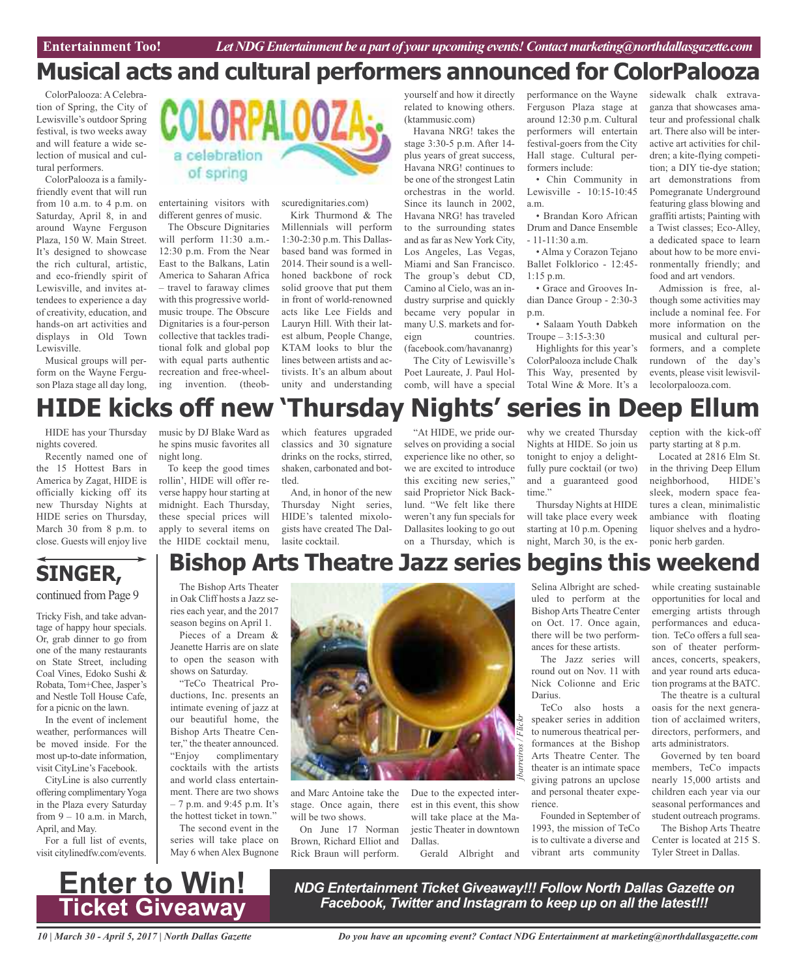## **Musical acts and cultural performers announced for ColorPalooza**

ColorPalooza: A Celebration of Spring, the City of Lewisville's outdoor Spring festival, is two weeks away and will feature a wide selection of musical and cultural performers.

ColorPalooza is a familyfriendly event that will run from 10 a.m. to 4 p.m. on Saturday, April 8, in and around Wayne Ferguson Plaza, 150 W. Main Street. It's designed to showcase the rich cultural, artistic, and eco-friendly spirit of Lewisville, and invites attendees to experience a day of creativity, education, and hands-on art activities and displays in Old Town Lewisville.

Musical groups will perform on the Wayne Ferguson Plaza stage all day long,



entertaining visitors with different genres of music.

The Obscure Dignitaries will perform  $11:30$  a.m.-12:30 p.m. From the Near East to the Balkans, Latin America to Saharan Africa – travel to faraway climes with this progressive worldmusic troupe. The Obscure Dignitaries is a four-person collective that tackles traditional folk and global pop with equal parts authentic recreation and free-wheeling invention. (theobscuredignitaries.com)

Kirk Thurmond & The Millennials will perform 1:30-2:30 p.m. This Dallasbased band was formed in 2014. Their sound is a wellhoned backbone of rock solid groove that put them in front of world-renowned acts like Lee Fields and Lauryn Hill. With their latest album, People Change, KTAM looks to blur the lines between artists and activists. It's an album about unity and understanding yourself and how it directly related to knowing others. (ktammusic.com)

Havana NRG! takes the stage 3:30-5 p.m. After 14 plus years of great success, Havana NRG! continues to be one of the strongest Latin orchestras in the world. Since its launch in 2002, Havana NRG! has traveled to the surrounding states and as far as New York City, Los Angeles, Las Vegas, Miami and San Francisco. The group's debut CD, Camino al Cielo, was an industry surprise and quickly became very popular in many U.S. markets and foreign countries. (facebook.com/havananrg) The City of Lewisville's

Poet Laureate, J. Paul Holcomb, will have a special performance on the Wayne Ferguson Plaza stage at around 12:30 p.m. Cultural performers will entertain festival-goers from the City Hall stage. Cultural performers include:

• Chin Community in Lewisville - 10:15-10:45 a.m.

• Brandan Koro African Drum and Dance Ensemble  $-11-11:30$  a.m.

• Alma y Corazon Tejano Ballet Folklorico - 12:45- 1:15 p.m.

• Grace and Grooves Indian Dance Group - 2:30-3 p.m.

• Salaam Youth Dabkeh Troupe  $-3:15-3:30$ 

Highlights for this year's ColorPalooza include Chalk This Way, presented by Total Wine & More. It's a

sidewalk chalk extravaganza that showcases amateur and professional chalk art. There also will be interactive art activities for children; a kite-flying competition; a DIY tie-dye station; art demonstrations from Pomegranate Underground featuring glass blowing and graffiti artists; Painting with a Twist classes; Eco-Alley, a dedicated space to learn about how to be more environmentally friendly; and food and art vendors.

Admission is free, although some activities may include a nominal fee. For more information on the musical and cultural performers, and a complete rundown of the day's events, please visit lewisvillecolorpalooza.com.

# **HIDE kicks off new 'Thursday Nights' series in Deep Ellum**

HIDE has your Thursday nights covered.

Recently named one of the 15 Hottest Bars in America by Zagat, HIDE is officially kicking off its new Thursday Nights at HIDE series on Thursday, March 30 from 8 p.m. to close. Guests will enjoy live

music by DJ Blake Ward as he spins music favorites all night long.

To keep the good times rollin', HIDE will offer reverse happy hour starting at midnight. Each Thursday, these special prices will apply to several items on the HIDE cocktail menu,

which features upgraded classics and 30 signature drinks on the rocks, stirred, shaken, carbonated and bottled.

And, in honor of the new Thursday Night series, HIDE's talented mixologists have created The Dallasite cocktail.

"At HIDE, we pride ourselves on providing a social experience like no other, so we are excited to introduce this exciting new series," said Proprietor Nick Backlund. "We felt like there weren't any fun specials for Dallasites looking to go out on a Thursday, which is why we created Thursday Nights at HIDE. So join us tonight to enjoy a delightfully pure cocktail (or two) and a guaranteed good time"

Thursday Nights at HIDE will take place every week starting at 10 p.m. Opening night, March 30, is the exception with the kick-off party starting at 8 p.m.

Located at 2816 Elm St. in the thriving Deep Ellum neighborhood, HIDE's sleek, modern space features a clean, minimalistic ambiance with floating liquor shelves and a hydroponic herb garden.

## **SINGER,**

#### continued from Page 9

Tricky Fish, and take advantage of happy hour specials. Or, grab dinner to go from one of the many restaurants on State Street, including Coal Vines, Edoko Sushi & Robata, Tom+Chee, Jasper's and Nestle Toll House Cafe, for a picnic on the lawn.

In the event of inclement weather, performances will be moved inside. For the most up-to-date information, visit CityLine's Facebook.

CityLine is also currently offering complimentaryYoga in the Plaza every Saturday from 9 – 10 a.m. in March, April, and May.

For a full list of events, visit citylinedfw.com/events.



season begins on April 1. Pieces of a Dream &

Jeanette Harris are on slate to open the season with shows on Saturday.

"TeCo Theatrical Productions, Inc. presents an intimate evening of jazz at our beautiful home, the Bishop Arts Theatre Center," the theater announced. "Enjoy complimentary cocktails with the artists and world class entertainment. There are two shows – 7 p.m. and 9:45 p.m. It's the hottest ticket in town."

The second event in the series will take place on May 6 when Alex Bugnone



and Marc Antoine take the stage. Once again, there will be two shows.

On June 17 Norman Brown, Richard Elliot and Rick Braun will perform.

Due to the expected interest in this event, this show will take place at the Majestic Theater in downtown Dallas.

Gerald Albright and

Selina Albright are scheduled to perform at the Bishop Arts Theatre Center on Oct. 17. Once again, there will be two performances for these artists.

The Jazz series will round out on Nov. 11 with Nick Colionne and Eric Darius.

TeCo also hosts a speaker series in addition to numerous theatrical performances at the Bishop Arts Theatre Center. The theater is an intimate space giving patrons an upclose and personal theater experience.

Founded in September of 1993, the mission of TeCo is to cultivate a diverse and vibrant arts community

while creating sustainable opportunities for local and emerging artists through performances and education. TeCo offers a full season of theater performances, concerts, speakers, and year round arts education programs at the BATC.

The theatre is a cultural oasis for the next generation of acclaimed writers, directors, performers, and arts administrators.

Governed by ten board members, TeCo impacts nearly 15,000 artists and children each year via our seasonal performances and student outreach programs.

The Bishop Arts Theatre Center is located at 215 S. Tyler Street in Dallas.



*NDG Entertainment Ticket Giveaway!!! Follow North Dallas Gazette on Facebook, Twitter and Instagram to keep up on all the latest!!!*

*10 | March 30 - April 5, 2017 | North Dallas Gazette*

*Do you have an upcoming event? Contact NDG Entertainment at marketing@northdallasgazette.com*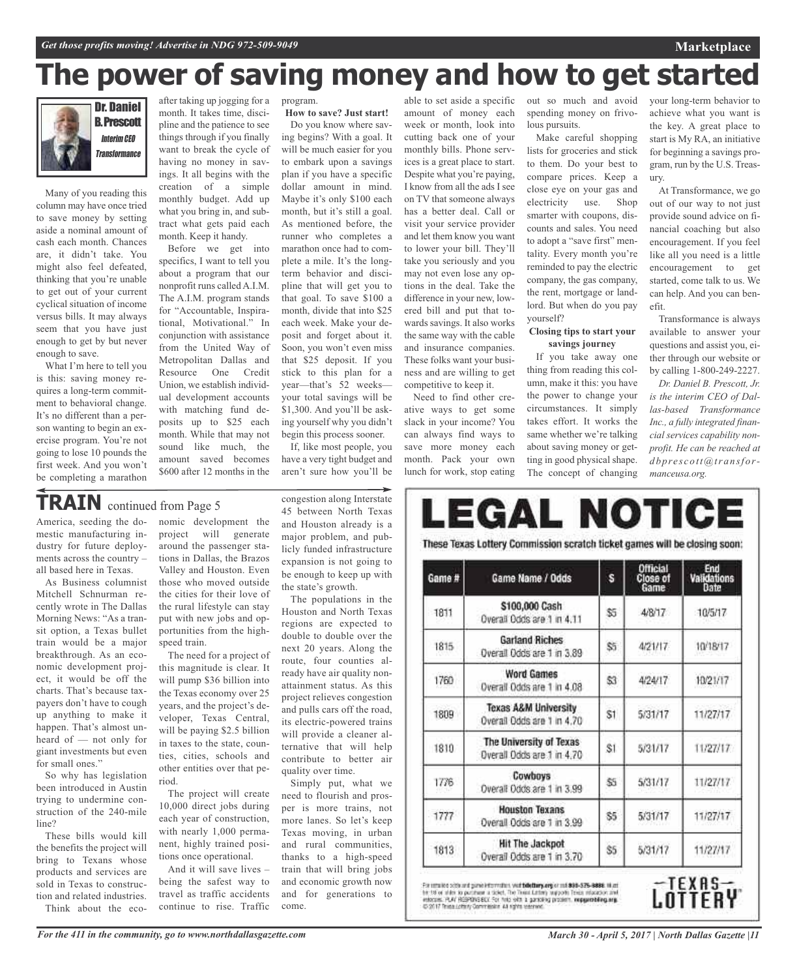## **The power of saving money and how to get started**



Many of you reading this column may have once tried to save money by setting aside a nominal amount of cash each month. Chances are, it didn't take. You might also feel defeated, thinking that you're unable to get out of your current cyclical situation of income versus bills. It may always seem that you have just enough to get by but never enough to save.

What I'm here to tell you is this: saving money requires a long-term commitment to behavioral change. It's no different than a person wanting to begin an exercise program. You're not going to lose 10 pounds the first week. And you won't be completing a marathon

after taking up jogging for a month. It takes time, discipline and the patience to see things through if you finally want to break the cycle of having no money in savings. It all begins with the creation of a simple monthly budget. Add up what you bring in, and subtract what gets paid each month. Keep it handy.

Before we get into specifics, I want to tell you about a program that our nonprofit runs called A.I.M. The A.I.M. program stands for "Accountable, Inspirational, Motivational." In conjunction with assistance from the United Way of Metropolitan Dallas and Resource One Credit Union, we establish individual development accounts with matching fund deposits up to \$25 each month. While that may not sound like much, the amount saved becomes \$600 after 12 months in the program.

**How to save? Just start!** Do you know where saving begins? With a goal. It will be much easier for you to embark upon a savings plan if you have a specific dollar amount in mind. Maybe it's only \$100 each month, but it's still a goal. As mentioned before, the runner who completes a marathon once had to complete a mile. It's the longterm behavior and discipline that will get you to that goal. To save \$100 a month, divide that into \$25 each week. Make your deposit and forget about it. Soon, you won't even miss that \$25 deposit. If you stick to this plan for a year—that's 52 weeks your total savings will be \$1,300. And you'll be asking yourself why you didn't begin this process sooner.

If, like most people, you have a very tight budget and aren't sure how you'll be

## **TRAIN** continued from Page <sup>5</sup>

America, seeding the domestic manufacturing industry for future deployments across the country – all based here in Texas.

As Business columnist Mitchell Schnurman recently wrote in The Dallas Morning News: "As a transit option, a Texas bullet train would be a major breakthrough. As an economic development project, it would be off the charts. That's because taxpayers don't have to cough up anything to make it happen. That's almost unheard of — not only for giant investments but even for small ones."

So why has legislation been introduced in Austin trying to undermine construction of the 240-mile line?

These bills would kill the benefits the project will bring to Texans whose products and services are sold in Texas to construction and related industries. Think about the economic development the<br>project will generate project will around the passenger stations in Dallas, the Brazos Valley and Houston. Even those who moved outside the cities for their love of the rural lifestyle can stay put with new jobs and opportunities from the highspeed train.

The need for a project of this magnitude is clear. It will pump \$36 billion into the Texas economy over 25 years, and the project's developer, Texas Central, will be paying \$2.5 billion in taxes to the state, counties, cities, schools and other entities over that period.

The project will create 10,000 direct jobs during each year of construction, with nearly 1,000 permanent, highly trained positions once operational.

And it will save lives – being the safest way to travel as traffic accidents continue to rise. Traffic congestion along Interstate 45 between North Texas and Houston already is a major problem, and publicly funded infrastructure expansion is not going to be enough to keep up with the state's growth.

The populations in the Houston and North Texas regions are expected to double to double over the next 20 years. Along the route, four counties already have air quality nonattainment status. As this project relieves congestion and pulls cars off the road, its electric-powered trains will provide a cleaner alternative that will help contribute to better air quality over time.

Simply put, what we need to flourish and prosper is more trains, not more lanes. So let's keep Texas moving, in urban and rural communities, thanks to a high-speed train that will bring jobs and economic growth now and for generations to come.

amount of money each week or month, look into cutting back one of your monthly bills. Phone services is a great place to start. Despite what you're paying, I know from all the ads I see on TV that someone always has a better deal. Call or visit your service provider and let them know you want to lower your bill. They'll take you seriously and you may not even lose any options in the deal. Take the difference in your new, lowered bill and put that towards savings. It also works the same way with the cable and insurance companies. These folks want your business and are willing to get competitive to keep it. Need to find other cre-

ative ways to get some slack in your income? You can always find ways to save more money each month. Pack your own lunch for work, stop eating

able to set aside a specific out so much and avoid spending money on frivolous pursuits.

Make careful shopping lists for groceries and stick to them. Do your best to compare prices. Keep a close eye on your gas and electricity use. Shop smarter with coupons, discounts and sales. You need to adopt a "save first" mentality. Every month you're reminded to pay the electric company, the gas company, the rent, mortgage or landlord. But when do you pay yourself?

#### **Closing tips to start your savings journey**

If you take away one thing from reading this column, make it this: you have the power to change your circumstances. It simply takes effort. It works the same whether we're talking about saving money or getting in good physical shape. The concept of changing

your long-term behavior to achieve what you want is the key. A great place to start is My RA, an initiative for beginning a savings program, run by the U.S. Treasury.

**Marketplace**

At Transformance, we go out of our way to not just provide sound advice on financial coaching but also encouragement. If you feel like all you need is a little encouragement to get started, come talk to us. We can help. And you can benefit.

Transformance is always available to answer your questions and assist you, either through our website or by calling 1-800-249-2227.

*Dr. Daniel B. Prescott, Jr. is the interim CEO of Dallas-based Transformance Inc., a fully integrated financial services capability nonprofit. He can be reached at*  $dbprescot(x)$ *manceusa.org.*

| Game # | Game Name / Odds                                      | S   | Official<br>Close of<br>Game | End<br><b>Validations</b><br>Date |
|--------|-------------------------------------------------------|-----|------------------------------|-----------------------------------|
| 1811   | \$100,000 Cash<br>Overall Odds are 1 in 4.11          | \$5 | 4/8/17                       | 10/5/17                           |
| 1815   | <b>Garland Riches</b><br>Overall Odds are 1 in 3.89   | \$5 | 4/21/17                      | 10/18/17                          |
| 1760   | <b>Word Games</b><br>Overall Odds are 1 in 4.08       | 53  | 4/24/17                      | 10/21/17                          |
| 1809   | Texas A&M University<br>Overall Odds are 1 in 4.70    | S1  | 5/31/17                      | 11/27/17                          |
| 1810   | The University of Texas<br>Overall Odds are 1 in 4.70 | S1  | 5/31/17                      | 11/27/17                          |
| 1776   | Cowboys<br>Overall Odds are 1 in 3.99                 | \$5 | 5/31/17                      | 11/27/17                          |
| 1777   | <b>Houston Texans</b><br>Overall Odds are 1 in 3.99   | \$5 | 5/31/17                      | 11/27/17                          |
| 1813   | <b>Hit The Jackpot</b><br>Overall Odds are 1 in 3.70  | \$5 | 5/31/17                      | 11/27/17                          |

For senated adds and game information, wait billettery.org or mit 838-375-8888. Hiust he 18 or alder to purchase a tablet. The Texas attempt approach Texas missional and<br>estocuss: PLAY RESPONS BELT For held with a gambling

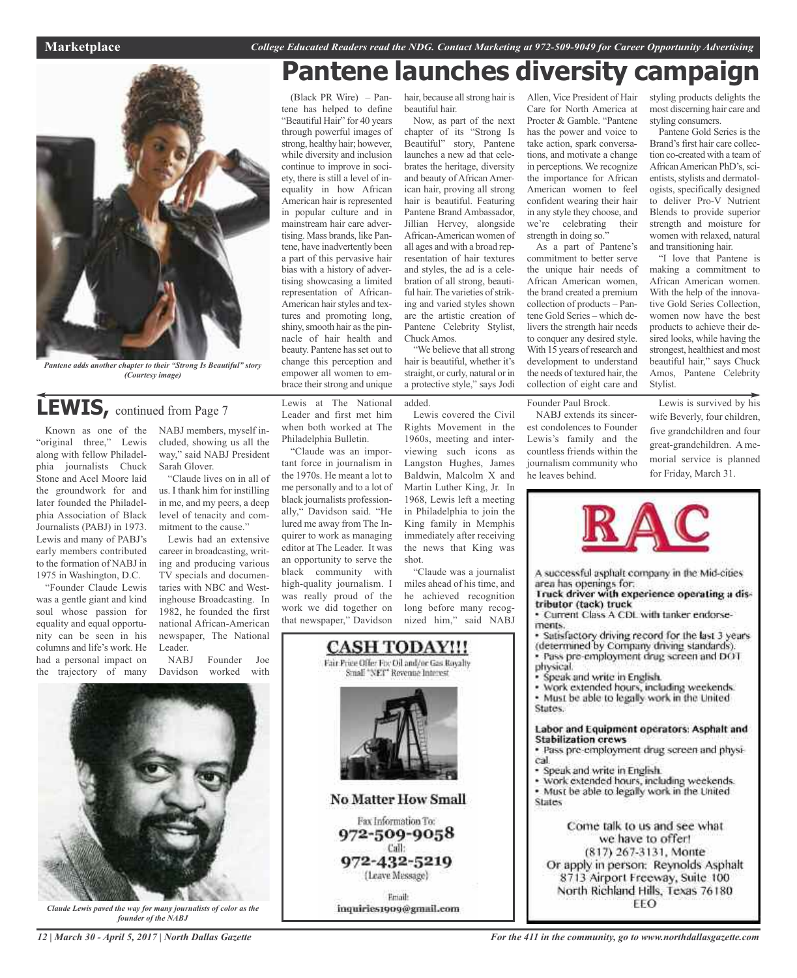## **Pantene launches diversity campaign**



*Pantene adds another chapter to their "Strong Is Beautiful" story (Courtesy image)*

## **LEWIS,** continued from Page <sup>7</sup>

Known as one of the "original three," Lewis along with fellow Philadelphia journalists Chuck Stone and Acel Moore laid the groundwork for and later founded the Philadelphia Association of Black Journalists (PABJ) in 1973. Lewis and many of PABJ's early members contributed to the formation of NABJ in 1975 in Washington, D.C.

"Founder Claude Lewis was a gentle giant and kind soul whose passion for equality and equal opportunity can be seen in his columns and life's work. He had a personal impact on the trajectory of many

NABJ members, myself included, showing us all the way," said NABJ President Sarah Glover.

"Claude lives on in all of us. I thank him for instilling in me, and my peers, a deep level of tenacity and commitment to the cause."

Lewis had an extensive career in broadcasting, writing and producing various TV specials and documentaries with NBC and Westinghouse Broadcasting. In 1982, he founded the first national African-American newspaper, The National Leader.

NABJ Founder Joe Davidson worked with



*Claude Lewis paved the way for many journalists of color as the founder of the NABJ*

hair, because all strong hair is beautiful hair.

Now, as part of the next chapter of its "Strong Is Beautiful" story, Pantene launches a new ad that celebrates the heritage, diversity and beauty of African American hair, proving all strong hair is beautiful. Featuring Pantene Brand Ambassador, Jillian Hervey, alongside African-American women of all ages and with a broad representation of hair textures and styles, the ad is a celebration of all strong, beautiful hair. The varieties of striking and varied styles shown are the artistic creation of Pantene Celebrity Stylist, Chuck Amos. "We believe that all strong

hair is beautiful, whether it's straight, or curly, natural or in a protective style," says Jodi

added.

Lewis at The National Leader and first met him when both worked at The Philadelphia Bulletin. "Claude was an important force in journalism in the 1970s. He meant a lot to me personally and to a lot of black journalists professionally," Davidson said. "He lured me away from The Inquirer to work as managing editor at The Leader. It was an opportunity to serve the black community with high-quality journalism. I was really proud of the work we did together on that newspaper," Davidson

(Black PR Wire) – Pantene has helped to define "Beautiful Hair" for 40 years through powerful images of strong, healthy hair; however, while diversity and inclusion continue to improve in society, there is still a level of inequality in how African American hair is represented in popular culture and in mainstream hair care advertising. Mass brands, like Pantene, have inadvertently been a part of this pervasive hair bias with a history of advertising showcasing a limited representation of African-American hair styles and textures and promoting long, shiny, smooth hair as the pinnacle of hair health and beauty. Pantene hasset out to change this perception and empower all women to embrace their strong and unique

> Lewis covered the Civil Rights Movement in the 1960s, meeting and interviewing such icons as Langston Hughes, James Baldwin, Malcolm X and Martin Luther King, Jr. In 1968, Lewis left a meeting in Philadelphia to join the King family in Memphis immediately after receiving the news that King was shot.

"Claude was a journalist miles ahead of his time, and he achieved recognition long before many recognized him," said NABJ



Allen, Vice President of Hair Care for North America at Procter & Gamble. "Pantene has the power and voice to take action, spark conversations, and motivate a change in perceptions. We recognize the importance for African American women to feel confident wearing their hair in any style they choose, and we're celebrating their strength in doing so."

As a part of Pantene's commitment to better serve the unique hair needs of African American women, the brand created a premium collection of products – Pantene Gold Series – which delivers the strength hair needs to conquer any desired style. With 15 years of research and development to understand the needs of textured hair, the collection of eight care and

Founder Paul Brock.

NABJ extends its sincerest condolences to Founder Lewis's family and the countless friends within the journalism community who he leaves behind.

styling products delights the most discerning hair care and styling consumers.

Pantene Gold Series is the Brand's first hair care collection co-created with a team of African American PhD's, scientists, stylists and dermatologists, specifically designed to deliver Pro-V Nutrient Blends to provide superior strength and moisture for women with relaxed, natural and transitioning hair.

"I love that Pantene is making a commitment to African American women. With the help of the innovative Gold Series Collection, women now have the best products to achieve their desired looks, while having the strongest, healthiest and most beautiful hair," says Chuck Amos, Pantene Celebrity Stylist.

Lewis is survived by his wife Beverly, four children, five grandchildren and four great-grandchildren. A memorial service is planned for Friday, March 31.



A successful asphalt company in the Mid-cities area has openings for.

Truck driver with experience operating a distributor (tack) truck

· Current Class A CDL with tanker endorsements.

Satisfactory driving record for the last 3 years (determined by Company driving standards).<br>• Pass pre-employment drug screen and DOT

- physical.
- Speak and write in English.
- · Work extended hours, including weekends. · Must be able to legally work in the United

States.

#### Labor and Equipment operators: Asphalt and **Stabilization crews**

- · Pass pre-employment drug screen and physical.
- · Speak and write in English.
- · Work extended hours, including weekends. . Must be able to legally work in the United States

Come talk to us and see what we have to offer! (817) 267-3131, Monte Or apply in person: Reynolds Asphalt 8713 Airport Freeway, Suite 100 North Richland Hills, Texas 76180 EEO

*12 | March 30 - April 5, 2017 | North Dallas Gazette*

*For the 411 in the community, go to www.northdallasgazette.com*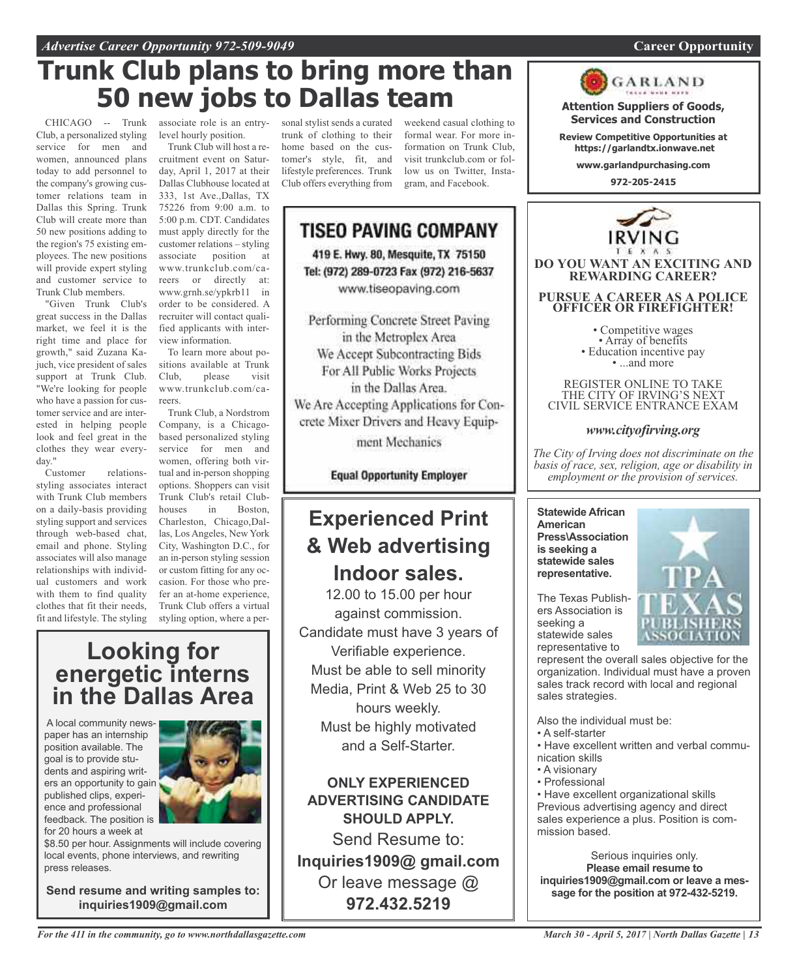## **Trunk Club plans to bring more than 50 new jobs to Dallas team**

CHICAGO -- Trunk Club, a personalized styling service for men and women, announced plans today to add personnel to the company's growing customer relations team in Dallas this Spring. Trunk Club will create more than 50 new positions adding to the region's 75 existing employees. The new positions will provide expert styling and customer service to Trunk Club members.

"Given Trunk Club's great success in the Dallas market, we feel it is the right time and place for growth," said Zuzana Kajuch, vice president of sales support at Trunk Club. "We're looking for people who have a passion for customer service and are interested in helping people look and feel great in the clothes they wear everyday."

Customer relationsstyling associates interact with Trunk Club members on a daily-basis providing styling support and services through web-based chat, email and phone. Styling associates will also manage relationships with individual customers and work with them to find quality clothes that fit their needs, fit and lifestyle. The styling

associate role is an entrylevel hourly position.

Trunk Club will host a recruitment event on Saturday, April 1, 2017 at their Dallas Clubhouse located at 333, 1st Ave.,Dallas, TX 75226 from 9:00 a.m. to 5:00 p.m. CDT. Candidates must apply directly for the customer relations – styling associate position at www.trunkclub.com/careers or directly at: www.grnh.se/ypkrb11 in order to be considered. A recruiter will contact qualified applicants with interview information.

To learn more about positions available at Trunk Club, please visit www.trunkclub.com/careers.

Trunk Club, a Nordstrom Company, is a Chicagobased personalized styling service for men and women, offering both virtual and in-person shopping options. Shoppers can visit Trunk Club's retail Clubhouses in Boston, Charleston, Chicago,Dallas, Los Angeles, New York City, Washington D.C., for an in-person styling session or custom fitting for any occasion. For those who prefer an at-home experience, Trunk Club offers a virtual styling option, where a per-

## **Looking for energetic interns in the Dallas Area**

A local community newspaper has an internship position available. The goal is to provide students and aspiring writers an opportunity to gain published clips, experience and professional feedback. The position is for 20 hours a week at



\$8.50 per hour. Assignments will include covering local events, phone interviews, and rewriting press releases.

**Send resume and writing samples to: inquiries1909@gmail.com**

sonal stylist sends a curated trunk of clothing to their home based on the customer's style, fit, and lifestyle preferences. Trunk Club offers everything from

weekend casual clothing to formal wear. For more information on Trunk Club, visit trunkclub.com or follow us on Twitter, Instagram, and Facebook.

## **TISEO PAVING COMPANY** 419 E. Hwy. 80, Mesquite, TX 75150 Tel: (972) 289-0723 Fax (972) 216-5637 www.tiseopaving.com

Performing Concrete Street Paving in the Metroplex Area We Accept Subcontracting Bids For All Public Works Projects in the Dallas Area. We Are Accepting Applications for Concrete Mixer Drivers and Heavy Equip-

ment Mechanics

**Equal Opportunity Employer** 

## **Experienced Print & Web advertising Indoor sales.**

12.00 to 15.00 per hour against commission. Candidate must have 3 years of Verifiable experience. Must be able to sell minority Media, Print & Web 25 to 30 hours weekly. Must be highly motivated and a Self-Starter.

**ONLY EXPERIENCED ADVERTISING CANDIDATE SHOULD APPLY.**

Send Resume to: **Inquiries1909@ gmail.com** Or leave message @ **972.432.5219**



**Attention Suppliers of Goods, Services and Construction Review Competitive Opportunities at https://garlandtx.ionwave.net www.garlandpurchasing.com**

GARLAND

• Competitive wages<br>• Array of benefits<br>• Education incentive pay<br>• ...and more

REGISTER ONLINE TO TAKE THE CITY OF IRVING'S NEXT CIVIL SERVICE ENTRANCE EXAM

## *www.cityofirving.org*

*The City of Irving does not discriminate on the basis of race, sex, religion, age or disability in employment or the provision of services.*

**Statewide African American Press\Association is seeking a statewide sales representative.**



The Texas Publishers Association is seeking a statewide sales representative to

represent the overall sales objective for the organization. Individual must have a proven sales track record with local and regional sales strategies.

Also the individual must be:

- A self-starter
- Have excellent written and verbal communication skills
- A visionary
- Professional

• Have excellent organizational skills Previous advertising agency and direct sales experience a plus. Position is commission based.

Serious inquiries only. **Please email resume to inquiries1909@gmail.com or leave a message for the position at 972-432-5219.**

## *For the 411 in the community, go to www.northdallasgazette.com*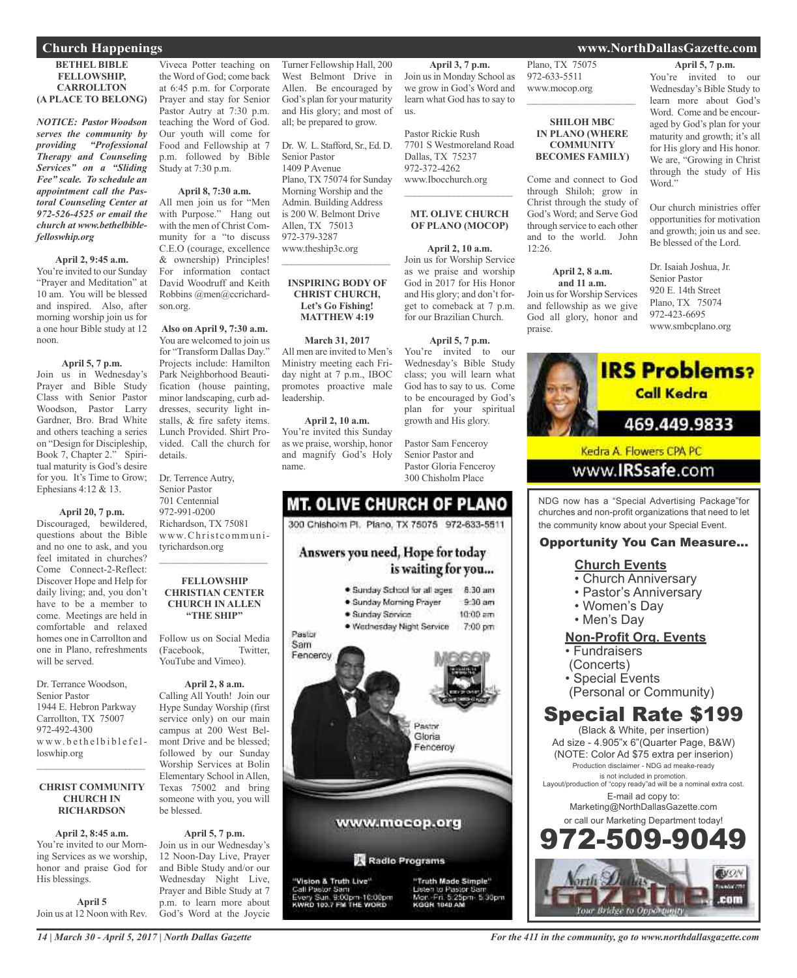#### **BETHEL BIBLE FELLOWSHIP, CARROLLTON (A PLACE TO BELONG)**

*NOTICE: Pastor Woodson serves the community by providing "Professional Therapy and Counseling Services" on a "Sliding Fee" scale. To schedule an appointment call the Pastoral Counseling Center at 972-526-4525 or email the church at www.bethelbiblefelloswhip.org*

#### **April 2, 9:45 a.m.**

You're invited to our Sunday "Prayer and Meditation" at 10 am. You will be blessed and inspired. Also, after morning worship join us for a one hour Bible study at 12 noon.

#### **April 5, 7 p.m.**

Join us in Wednesday's Prayer and Bible Study Class with Senior Pastor Woodson, Pastor Larry Gardner, Bro. Brad White and others teaching a series on "Design for Discipleship, Book 7, Chapter 2." Spiritual maturity is God's desire for you. It's Time to Grow; Ephesians 4:12 & 13.

**April 20, 7 p.m.** Discouraged, bewildered, questions about the Bible and no one to ask, and you feel imitated in churches? Come Connect-2-Reflect: Discover Hope and Help for daily living; and, you don't have to be a member to come. Meetings are held in comfortable and relaxed homes one in Carrollton and one in Plano, refreshments will be served.

Dr. Terrance Woodson, Senior Pastor 1944 E. Hebron Parkway Carrollton, TX 75007 972-492-4300 www.bethelbiblefelloswhip.org

#### **CHRIST COMMUNITY CHURCH IN RICHARDSON**

 $\overline{\phantom{a}}$  , and the set of the set of the set of the set of the set of the set of the set of the set of the set of the set of the set of the set of the set of the set of the set of the set of the set of the set of the s

**April 2, 8:45 a.m.** You're invited to our Morning Services as we worship, honor and praise God for His blessings.

**April 5** Join us at 12 Noon with Rev.

Viveca Potter teaching on the Word of God; come back at 6:45 p.m. for Corporate Prayer and stay for Senior Pastor Autry at 7:30 p.m. teaching the Word of God. Our youth will come for Food and Fellowship at 7 p.m. followed by Bible Study at 7:30 p.m.

#### **April 8, 7:30 a.m.**

All men join us for "Men with Purpose." Hang out with the men of Christ Community for a "to discuss C.E.O (courage, excellence & ownership) Principles! For information contact David Woodruff and Keith Robbins @men@ccrichardson.org.

**Also on April 9, 7:30 a.m.** You are welcomed to join us for "Transform Dallas Day." Projects include: Hamilton Park Neighborhood Beautification (house painting, minor landscaping, curb addresses, security light installs, & fire safety items. Lunch Provided. Shirt Provided. Call the church for details.

Dr. Terrence Autry, Senior Pastor 701 Centennial 972-991-0200 Richardson, TX 75081 www.Christcommunityrichardson.org

#### **FELLOWSHIP CHRISTIAN CENTER CHURCH IN ALLEN "THE SHIP"**

 $\overline{\phantom{a}}$  , and the set of the set of the set of the set of the set of the set of the set of the set of the set of the set of the set of the set of the set of the set of the set of the set of the set of the set of the s

Follow us on Social Media (Facebook, Twitter, YouTube and Vimeo).

**April 2, 8 a.m.** Calling All Youth! Join our Hype Sunday Worship (first service only) on our main campus at 200 West Belmont Drive and be blessed; followed by our Sunday Worship Services at Bolin Elementary School in Allen, Texas 75002 and bring someone with you, you will be blessed.

**April 5, 7 p.m.** Join us in our Wednesday's 12 Noon-Day Live, Prayer and Bible Study and/or our Wednesday Night Live, Prayer and Bible Study at 7 p.m. to learn more about God's Word at the Joycie

Turner Fellowship Hall, 200 West Belmont Drive in Allen. Be encouraged by God's plan for your maturity and His glory; and most of all; be prepared to grow.

Dr. W. L. Stafford, Sr., Ed. D. Senior Pastor 1409 PAvenue Plano, TX 75074 for Sunday Morning Worship and the Admin. Building Address is 200 W. Belmont Drive Allen, TX 75013 972-379-3287 www.theship3c.org  $\overline{\phantom{a}}$  , and the set of the set of the set of the set of the set of the set of the set of the set of the set of the set of the set of the set of the set of the set of the set of the set of the set of the set of the s

#### **INSPIRING BODY OF CHRIST CHURCH, Let's Go Fishing! MATTHEW 4:19**

**March 31, 2017** All men are invited to Men's Ministry meeting each Friday night at 7 p.m., IBOC promotes proactive male leadership.

**April 2, 10 a.m.** You're invited this Sunday as we praise, worship, honor and magnify God's Holy name.

![](_page_13_Picture_26.jpeg)

**April 3, 7 p.m.** Join us in Monday School as we grow in God's Word and learn what God has to say to

Pastor Rickie Rush 7701 S Westmoreland Road Dallas, TX 75237 972-372-4262 www.Ibocchurch.org

us.

#### **MT. OLIVE CHURCH OF PLANO (MOCOP)**

 $\mathcal{L}=\{1,2,3,4,5\}$ 

**April 2, 10 a.m.** Join us for Worship Service as we praise and worship God in 2017 for His Honor and His glory; and don't forget to comeback at 7 p.m. for our Brazilian Church.

## **April 5, 7 p.m.**

You're invited to our Wednesday's Bible Study class; you will learn what God has to say to us. Come to be encouraged by God's plan for your spiritual growth and His glory.

Pastor Sam Fenceroy Senior Pastor and Pastor Gloria Fenceroy 300 Chisholm Place

Plano, TX 75075 972-633-5511 www.mocop.org

#### **SHILOH MBC IN PLANO (WHERE COMMUNITY BECOMES FAMILY)**

 $\overline{\phantom{a}}$  , and the set of the set of the set of the set of the set of the set of the set of the set of the set of the set of the set of the set of the set of the set of the set of the set of the set of the set of the s

Come and connect to God through Shiloh; grow in Christ through the study of God's Word; and Serve God through service to each other and to the world. John 12:26.

#### **April 2, 8 a.m. and 11 a.m.**

Join us for Worship Services and fellowship as we give God all glory, honor and praise.

**April 5, 7 p.m.** You're invited to our Wednesday's Bible Study to learn more about God's Word. Come and be encouraged by God's plan for your maturity and growth; it's all for His glory and His honor.

We are, "Growing in Christ through the study of His Word."

Our church ministries offer opportunities for motivation and growth; join us and see. Be blessed of the Lord.

Dr. Isaiah Joshua, Jr. Senior Pastor 920 E. 14th Street Plano, TX 75074 972-423-6695 www.smbcplano.org

![](_page_13_Picture_43.jpeg)

NDG now has a "Special Advertising Package"for churches and non-profit organizations that need to let the community know about your Special Event.

## Opportunity You Can Measure...

## **Church Events**

- Church Anniversary
- Pastor's Anniversary
- Women's Day
- Men's Day

## **Non-Profit Org. Events**

- Fundraisers
- (Concerts)
- Special Events
- (Personal or Community)

## Special Rate \$199

(Black & White, per insertion) Ad size - 4.905"x 6"(Quarter Page, B&W) (NOTE: Color Ad \$75 extra per inserion) Production disclaimer - NDG ad meake-ready is not included in promotion. Layout/production of "copy ready"ad will be a nominal extra cost. E-mail ad copy to: Marketing@NorthDallasGazette.com or call our Marketing Department today! -509-9

![](_page_13_Picture_58.jpeg)

*14 | March 30 - April 5, 2017 | North Dallas Gazette*

## **Church Happenings www.NorthDallasGazette.com**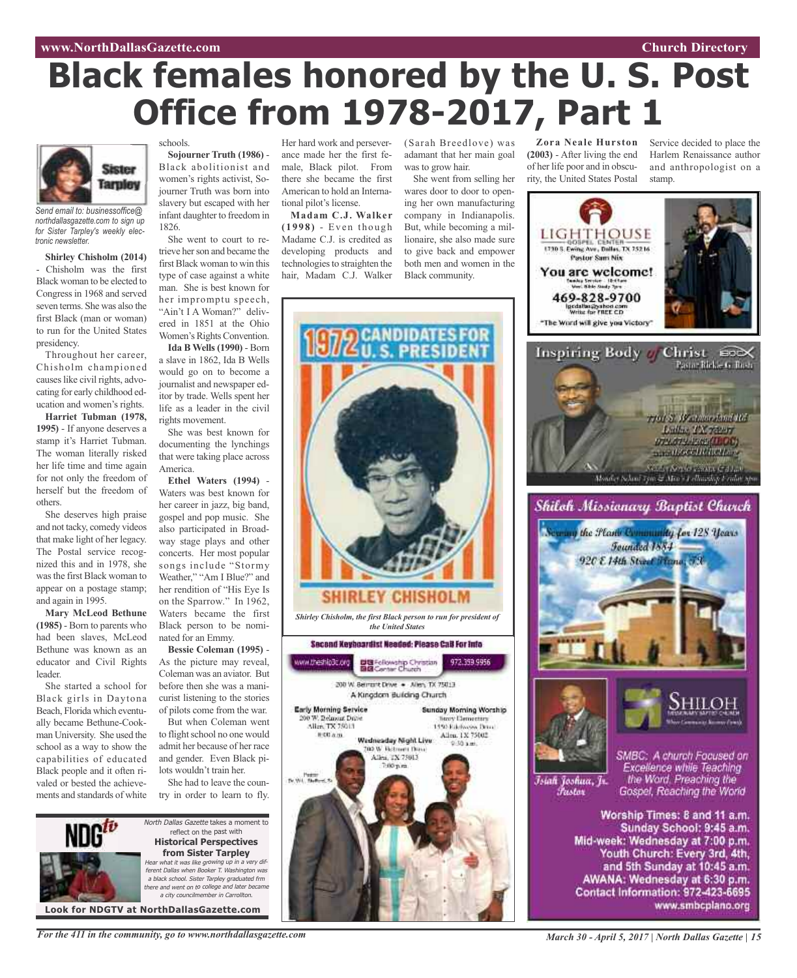#### **www.NorthDallasGazette.com Church Directory**

# **Black females honored by the U. S. Post Office from 1978-2017, Part 1**

![](_page_14_Picture_2.jpeg)

*Send email to: businessoffice@ northdallasgazette.com to sign up for Sister Tarpley's weekly electronic newsletter.*

**Shirley Chisholm (2014)** - Chisholm was the first Black woman to be elected to Congress in 1968 and served seven terms. She was also the first Black (man or woman) to run for the United States presidency.

Throughout her career, Chisholm championed causes like civil rights, advocating for early childhood education and women's rights.

**Harriet Tubman (1978, 1995)** - If anyone deserves a stamp it's Harriet Tubman. The woman literally risked her life time and time again for not only the freedom of herself but the freedom of others.

She deserves high praise and not tacky, comedy videos that make light of her legacy. The Postal service recognized this and in 1978, she wasthe first Black woman to appear on a postage stamp; and again in 1995.

**Mary McLeod Bethune (1985)** - Born to parents who had been slaves, McLeod Bethune was known as an educator and Civil Rights leader.

She started a school for Black girls in Daytona Beach, Florida which eventually became Bethune-Cookman University. She used the school as a way to show the capabilities of educated Black people and it often rivaled or bested the achievements and standards of white

## schools.

**Sojourner Truth (1986)** - Black abolitionist and women's rights activist, Sojourner Truth was born into slavery but escaped with her infant daughter to freedom in 1826.

She went to court to retrieve her son and became the first Black woman to win this type of case against a white man. She is best known for her impromptu speech, "Ain't I A Woman?" delivered in 1851 at the Ohio Women's Rights Convention.

**Ida B Wells(1990)** - Born a slave in 1862, Ida B Wells would go on to become a journalist and newspaper editor by trade. Wells spent her life as a leader in the civil rights movement.

She was best known for documenting the lynchings that were taking place across America.

**Ethel Waters (1994)** - Waters was best known for her career in jazz, big band, gospel and pop music. She also participated in Broadway stage plays and other concerts. Her most popular songs include "Stormy Weather," "Am I Blue?" and her rendition of "His Eye Is on the Sparrow." In 1962, Waters became the first Black person to be nominated for an Emmy.

**Bessie Coleman (1995)** - As the picture may reveal, Coleman was an aviator. But before then she was a manicurist listening to the stories of pilots come from the war.

But when Coleman went to flight school no one would admit her because of her race and gender. Even Black pilots wouldn't train her.

She had to leave the country in order to learn to fly.

![](_page_14_Picture_19.jpeg)

Her hard work and perseverance made her the first female, Black pilot. From there she became the first American to hold an Interna-

tional pilot's license. **Madam C.J. Walker ( 1998)** - Even though Madame C.J. is credited as developing products and technologies to straighten the hair, Madam C.J. Walker

(Sarah Breedlove) was adamant that her main goal was to grow hair.

**Zora Neale Hurston (2003)** - After living the end of her life poor and in obscurity, the United States Postal

> LIGHTHQUSE 1730 S. Ewing Ave., Dollar, TX 75216 **Pastor Sam Nix** You are welcome!

469-828-9700 illaighabad con<br>is for FREE CD "The Word will give you Victory"

Service decided to place the Harlem Renaissance author and anthropologist on a

7761 S. Westmooding 165 Luther TX recor DTA/ITA/ESS/ILOG) mand/oct/Ritching **South Arrival County County** 

Monder School Tym & Mice's Lellinsskip Eridot spe

stamp.

Inspiring Body // Christ €0×

Shiloh Missionary Baptist Church

She went from selling her wares door to door to opening her own manufacturing company in Indianapolis. But, while becoming a millionaire, she also made sure to give back and empower both men and women in the Black community.

![](_page_14_Picture_24.jpeg)

the Flame Community for 128 Years Founded 1884 920 E 14th Street France, 73 SMBC: A church Focused on Excellence while Teaching the Word. Preaching the Īsiah Joshua, Jr. *Pustor* Gospel, Reaching the World

> Worship Times: 8 and 11 a.m. Sunday School: 9:45 a.m. Mid-week: Wednesday at 7:00 p.m. Youth Church: Every 3rd, 4th, and 5th Sunday at 10:45 a.m. AWANA: Wednesday at 6:30 p.m. Contact Information: 972-423-6695 www.smbcplano.org

*For the 411 in the community, go to www.northdallasgazette.com*

*March 30 - April 5, 2017 | North Dallas Gazette | 15*